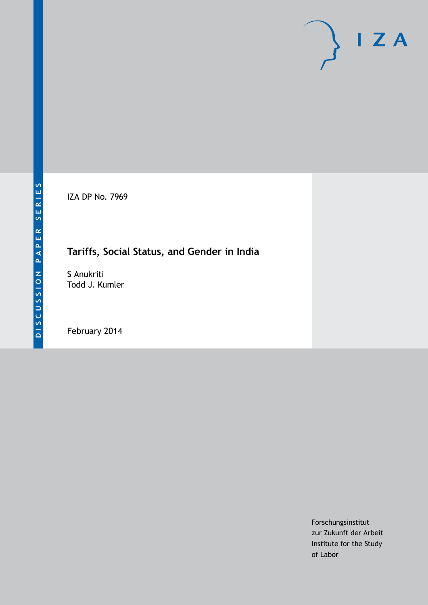IZA DP No. 7969

# **Tariffs, Social Status, and Gender in India**

S Anukriti Todd J. Kumler

February 2014

Forschungsinstitut zur Zukunft der Arbeit Institute for the Study of Labor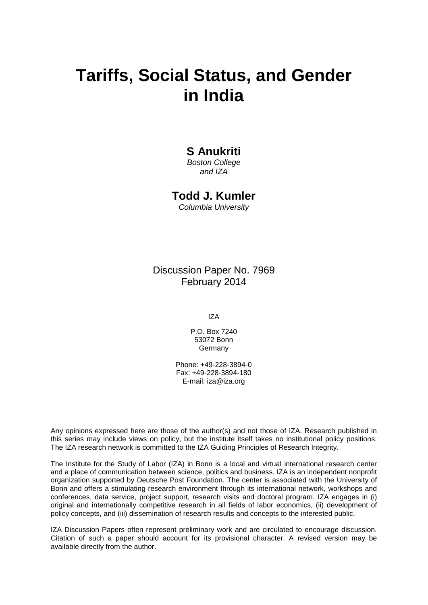# **Tariffs, Social Status, and Gender in India**

### **S Anukriti**

*Boston College and IZA*

### **Todd J. Kumler**

*Columbia University*

Discussion Paper No. 7969 February 2014

IZA

P.O. Box 7240 53072 Bonn Germany

Phone: +49-228-3894-0 Fax: +49-228-3894-180 E-mail: [iza@iza.org](mailto:iza@iza.org)

Any opinions expressed here are those of the author(s) and not those of IZA. Research published in this series may include views on policy, but the institute itself takes no institutional policy positions. The IZA research network is committed to the IZA Guiding Principles of Research Integrity.

The Institute for the Study of Labor (IZA) in Bonn is a local and virtual international research center and a place of communication between science, politics and business. IZA is an independent nonprofit organization supported by Deutsche Post Foundation. The center is associated with the University of Bonn and offers a stimulating research environment through its international network, workshops and conferences, data service, project support, research visits and doctoral program. IZA engages in (i) original and internationally competitive research in all fields of labor economics, (ii) development of policy concepts, and (iii) dissemination of research results and concepts to the interested public.

<span id="page-1-0"></span>IZA Discussion Papers often represent preliminary work and are circulated to encourage discussion. Citation of such a paper should account for its provisional character. A revised version may be available directly from the author.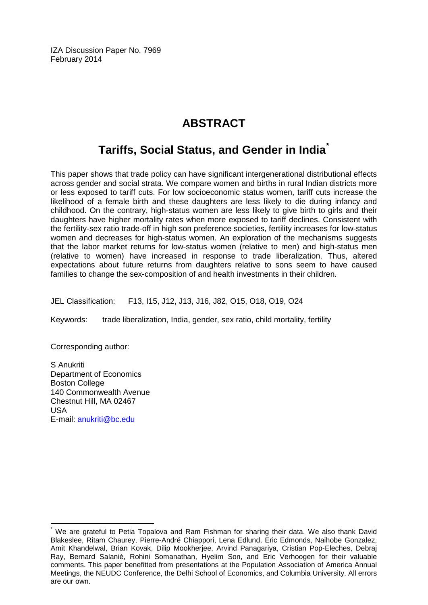IZA Discussion Paper No. 7969 February 2014

# **ABSTRACT**

## **Tariffs, Social Status, and Gender in India[\\*](#page-1-0)**

This paper shows that trade policy can have significant intergenerational distributional effects across gender and social strata. We compare women and births in rural Indian districts more or less exposed to tariff cuts. For low socioeconomic status women, tariff cuts increase the likelihood of a female birth and these daughters are less likely to die during infancy and childhood. On the contrary, high-status women are less likely to give birth to girls and their daughters have higher mortality rates when more exposed to tariff declines. Consistent with the fertility-sex ratio trade-off in high son preference societies, fertility increases for low-status women and decreases for high-status women. An exploration of the mechanisms suggests that the labor market returns for low-status women (relative to men) and high-status men (relative to women) have increased in response to trade liberalization. Thus, altered expectations about future returns from daughters relative to sons seem to have caused families to change the sex-composition of and health investments in their children.

JEL Classification: F13, I15, J12, J13, J16, J82, O15, O18, O19, O24

Keywords: trade liberalization, India, gender, sex ratio, child mortality, fertility

Corresponding author:

S Anukriti Department of Economics Boston College 140 Commonwealth Avenue Chestnut Hill, MA 02467 USA E-mail: [anukriti@bc.edu](mailto:anukriti@bc.edu)

We are grateful to Petia Topalova and Ram Fishman for sharing their data. We also thank David Blakeslee, Ritam Chaurey, Pierre-André Chiappori, Lena Edlund, Eric Edmonds, Naihobe Gonzalez, Amit Khandelwal, Brian Kovak, Dilip Mookherjee, Arvind Panagariya, Cristian Pop-Eleches, Debraj Ray, Bernard Salanié, Rohini Somanathan, Hyelim Son, and Eric Verhoogen for their valuable comments. This paper benefitted from presentations at the Population Association of America Annual Meetings, the NEUDC Conference, the Delhi School of Economics, and Columbia University. All errors are our own.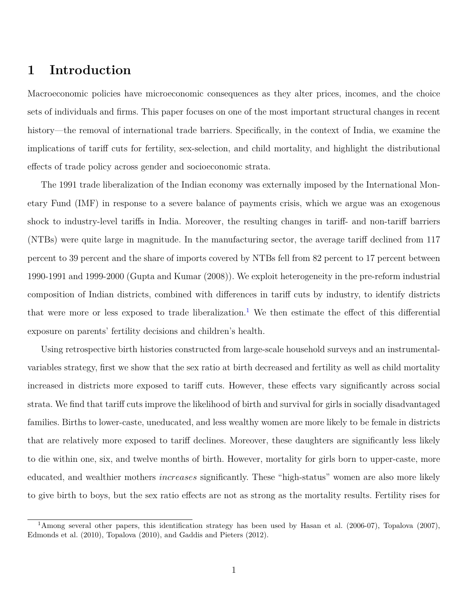### **1 Introduction**

Macroeconomic policies have microeconomic consequences as they alter prices, incomes, and the choice sets of individuals and firms. This paper focuses on one of the most important structural changes in recent history—the removal of international trade barriers. Specifically, in the context of India, we examine the implications of tariff cuts for fertility, sex-selection, and child mortality, and highlight the distributional effects of trade policy across gender and socioeconomic strata.

The 1991 trade liberalization of the Indian economy was externally imposed by the International Monetary Fund (IMF) in response to a severe balance of payments crisis, which we argue was an exogenous shock to industry-level tariffs in India. Moreover, the resulting changes in tariff- and non-tariff barriers (NTBs) were quite large in magnitude. In the manufacturing sector, the average tariff declined from 117 percent to 39 percent and the share of imports covered by NTBs fell from 82 percent to 17 percent between 1990-1991 and 1999-2000 [\(Gupta and Kumar](#page-30-0) [\(2008\)](#page-30-0)). We exploit heterogeneity in the pre-reform industrial composition of Indian districts, combined with differences in tariff cuts by industry, to identify districts that were more or less exposed to trade liberalization.<sup>[1](#page-3-0)</sup> We then estimate the effect of this differential exposure on parents' fertility decisions and children's health.

Using retrospective birth histories constructed from large-scale household surveys and an instrumentalvariables strategy, first we show that the sex ratio at birth decreased and fertility as well as child mortality increased in districts more exposed to tariff cuts. However, these effects vary significantly across social strata. We find that tariff cuts improve the likelihood of birth and survival for girls in socially disadvantaged families. Births to lower-caste, uneducated, and less wealthy women are more likely to be female in districts that are relatively more exposed to tariff declines. Moreover, these daughters are significantly less likely to die within one, six, and twelve months of birth. However, mortality for girls born to upper-caste, more educated, and wealthier mothers *increases* significantly. These "high-status" women are also more likely to give birth to boys, but the sex ratio effects are not as strong as the mortality results. Fertility rises for

<span id="page-3-0"></span><sup>1</sup>Among several other papers, this identification strategy has been used by [Hasan et al.](#page-30-1) [\(2006-07\)](#page-30-1), [Topalova](#page-32-0) [\(2007\)](#page-32-0), [Edmonds et al.](#page-30-2) [\(2010\)](#page-30-2), [Topalova](#page-32-1) [\(2010\)](#page-32-1), and [Gaddis and Pieters](#page-30-3) [\(2012\)](#page-30-3).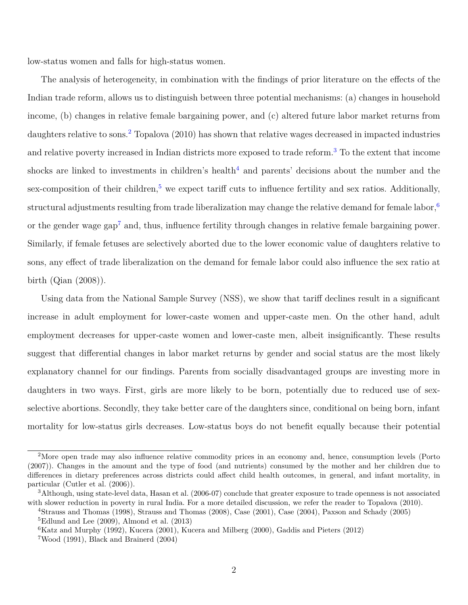low-status women and falls for high-status women.

The analysis of heterogeneity, in combination with the findings of prior literature on the effects of the Indian trade reform, allows us to distinguish between three potential mechanisms: (a) changes in household income, (b) changes in relative female bargaining power, and (c) altered future labor market returns from daughters relative to sons.<sup>[2](#page-4-0)</sup> [Topalova](#page-32-1) [\(2010\)](#page-32-1) has shown that relative wages decreased in impacted industries and relative poverty increased in Indian districts more exposed to trade reform.<sup>[3](#page-4-1)</sup> To the extent that income shocks are linked to investments in children's health<sup>[4](#page-4-2)</sup> and parents' decisions about the number and the sex-composition of their children,<sup>[5](#page-4-3)</sup> we expect tariff cuts to influence fertility and sex ratios. Additionally, structural adjustments resulting from trade liberalization may change the relative demand for female labor,  $6$ or the gender wage gap<sup>[7](#page-4-5)</sup> and, thus, influence fertility through changes in relative female bargaining power. Similarly, if female fetuses are selectively aborted due to the lower economic value of daughters relative to sons, any effect of trade liberalization on the demand for female labor could also influence the sex ratio at birth [\(Qian](#page-31-0) [\(2008\)](#page-31-0)).

Using data from the National Sample Survey (NSS), we show that tariff declines result in a significant increase in adult employment for lower-caste women and upper-caste men. On the other hand, adult employment decreases for upper-caste women and lower-caste men, albeit insignificantly. These results suggest that differential changes in labor market returns by gender and social status are the most likely explanatory channel for our findings. Parents from socially disadvantaged groups are investing more in daughters in two ways. First, girls are more likely to be born, potentially due to reduced use of sexselective abortions. Secondly, they take better care of the daughters since, conditional on being born, infant mortality for low-status girls decreases. Low-status boys do not benefit equally because their potential

<span id="page-4-0"></span><sup>2</sup>More open trade may also influence relative commodity prices in an economy and, hence, consumption levels [\(Porto](#page-31-1) [\(2007\)](#page-31-1)). Changes in the amount and the type of food (and nutrients) consumed by the mother and her children due to differences in dietary preferences across districts could affect child health outcomes, in general, and infant mortality, in particular [\(Cutler et al.](#page-29-0) [\(2006\)](#page-29-0)).

<span id="page-4-1"></span><sup>3</sup>Although, using state-level data, [Hasan et al.](#page-30-1) [\(2006-07\)](#page-30-1) conclude that greater exposure to trade openness is not associated with slower reduction in poverty in rural India. For a more detailed discussion, we refer the reader to [Topalova](#page-32-1) [\(2010\)](#page-32-1).

<span id="page-4-3"></span><span id="page-4-2"></span><sup>4</sup>[Strauss and Thomas](#page-31-2) [\(1998\)](#page-31-2), [Strauss and Thomas](#page-31-3) [\(2008\)](#page-31-3), [Case](#page-29-1) [\(2001\)](#page-29-1), [Case](#page-29-2) [\(2004\)](#page-29-2), [Paxson and Schady](#page-31-4) [\(2005\)](#page-31-4)  ${}^{5}$ [Edlund and Lee](#page-30-4) [\(2009\)](#page-30-4), [Almond et al.](#page-29-3) [\(2013\)](#page-29-3)

<span id="page-4-4"></span> ${}^{6}$ [Katz and Murphy](#page-30-5) [\(1992\)](#page-30-5), [Kucera](#page-31-5) [\(2001\)](#page-31-5), [Kucera and Milberg](#page-31-6) [\(2000\)](#page-31-6), [Gaddis and Pieters](#page-30-3) [\(2012\)](#page-30-3)

<span id="page-4-5"></span><sup>7</sup>[Wood](#page-32-2) [\(1991\)](#page-32-2), [Black and Brainerd](#page-29-4) [\(2004\)](#page-29-4)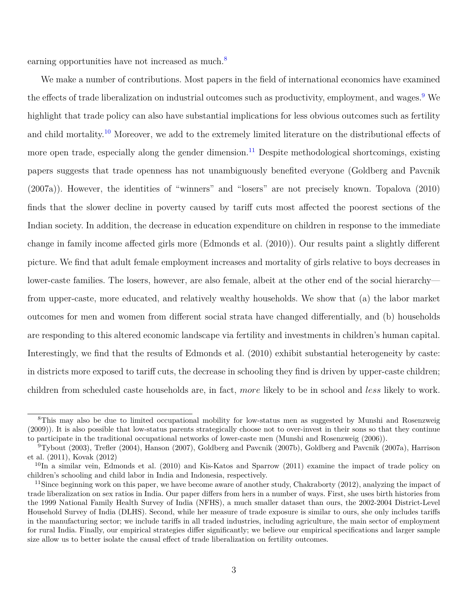earning opportunities have not increased as much.<sup>[8](#page-5-0)</sup>

We make a number of contributions. Most papers in the field of international economics have examined the effects of trade liberalization on industrial outcomes such as productivity, employment, and wages.<sup>[9](#page-5-1)</sup> We highlight that trade policy can also have substantial implications for less obvious outcomes such as fertility and child mortality.<sup>[10](#page-5-2)</sup> Moreover, we add to the extremely limited literature on the distributional effects of more open trade, especially along the gender dimension.<sup>[11](#page-5-3)</sup> Despite methodological shortcomings, existing papers suggests that trade openness has not unambiguously benefited everyone [\(Goldberg and Pavcnik](#page-30-6) [\(2007a\)](#page-30-6)). However, the identities of "winners" and "losers" are not precisely known. [Topalova](#page-32-1) [\(2010\)](#page-32-1) finds that the slower decline in poverty caused by tariff cuts most affected the poorest sections of the Indian society. In addition, the decrease in education expenditure on children in response to the immediate change in family income affected girls more [\(Edmonds et al.](#page-30-2) [\(2010\)](#page-30-2)). Our results paint a slightly different picture. We find that adult female employment increases and mortality of girls relative to boys decreases in lower-caste families. The losers, however, are also female, albeit at the other end of the social hierarchy from upper-caste, more educated, and relatively wealthy households. We show that (a) the labor market outcomes for men and women from different social strata have changed differentially, and (b) households are responding to this altered economic landscape via fertility and investments in children's human capital. Interestingly, we find that the results of [Edmonds et al.](#page-30-2) [\(2010\)](#page-30-2) exhibit substantial heterogeneity by caste: in districts more exposed to tariff cuts, the decrease in schooling they find is driven by upper-caste children; children from scheduled caste households are, in fact, *more* likely to be in school and *less* likely to work.

<span id="page-5-0"></span><sup>8</sup>This may also be due to limited occupational mobility for low-status men as suggested by [Munshi and Rosenzweig](#page-31-7) [\(2009\)](#page-31-7)). It is also possible that low-status parents strategically choose not to over-invest in their sons so that they continue to participate in the traditional occupational networks of lower-caste men [\(Munshi and Rosenzweig](#page-31-8) [\(2006\)](#page-31-8)).

<span id="page-5-1"></span><sup>9</sup>[Tybout](#page-32-3) [\(2003\)](#page-32-3), [Trefler](#page-32-4) [\(2004\)](#page-32-4), [Hanson](#page-30-7) [\(2007\)](#page-30-7), [Goldberg and Pavcnik](#page-30-8) [\(2007b\)](#page-30-8), [Goldberg and Pavcnik](#page-30-6) [\(2007a\)](#page-30-6), [Harrison](#page-30-9) [et al.](#page-30-9) [\(2011\)](#page-30-9), [Kovak](#page-31-9) [\(2012\)](#page-31-9)

<span id="page-5-2"></span> $10$ In a similar vein, [Edmonds et al.](#page-30-2) [\(2010\)](#page-30-2) and [Kis-Katos and Sparrow](#page-31-10) [\(2011\)](#page-31-10) examine the impact of trade policy on children's schooling and child labor in India and Indonesia, respectively.

<span id="page-5-3"></span><sup>&</sup>lt;sup>11</sup>Since beginning work on this paper, we have become aware of another study, [Chakraborty](#page-29-5) [\(2012\)](#page-29-5), analyzing the impact of trade liberalization on sex ratios in India. Our paper differs from hers in a number of ways. First, she uses birth histories from the 1999 National Family Health Survey of India (NFHS), a much smaller dataset than ours, the 2002-2004 District-Level Household Survey of India (DLHS). Second, while her measure of trade exposure is similar to ours, she only includes tariffs in the manufacturing sector; we include tariffs in all traded industries, including agriculture, the main sector of employment for rural India. Finally, our empirical strategies differ significantly; we believe our empirical specifications and larger sample size allow us to better isolate the causal effect of trade liberalization on fertility outcomes.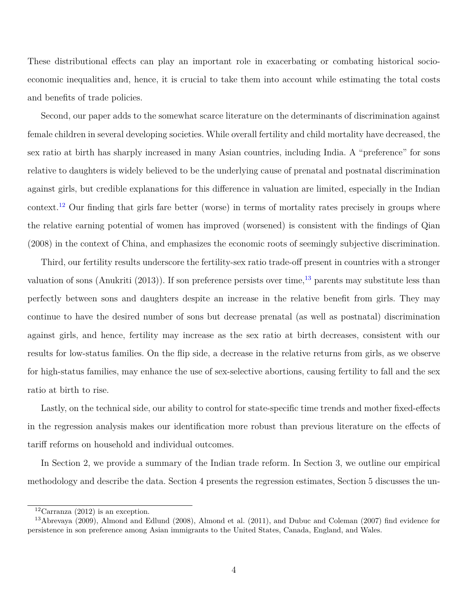These distributional effects can play an important role in exacerbating or combating historical socioeconomic inequalities and, hence, it is crucial to take them into account while estimating the total costs and benefits of trade policies.

Second, our paper adds to the somewhat scarce literature on the determinants of discrimination against female children in several developing societies. While overall fertility and child mortality have decreased, the sex ratio at birth has sharply increased in many Asian countries, including India. A "preference" for sons relative to daughters is widely believed to be the underlying cause of prenatal and postnatal discrimination against girls, but credible explanations for this difference in valuation are limited, especially in the Indian context.<sup>[12](#page-6-0)</sup> Our finding that girls fare better (worse) in terms of mortality rates precisely in groups where the relative earning potential of women has improved (worsened) is consistent with the findings of [Qian](#page-31-0) [\(2008\)](#page-31-0) in the context of China, and emphasizes the economic roots of seemingly subjective discrimination.

Third, our fertility results underscore the fertility-sex ratio trade-off present in countries with a stronger valuation of sons [\(Anukriti](#page-29-6) [\(2013\)](#page-29-6)). If son preference persists over time,  $^{13}$  $^{13}$  $^{13}$  parents may substitute less than perfectly between sons and daughters despite an increase in the relative benefit from girls. They may continue to have the desired number of sons but decrease prenatal (as well as postnatal) discrimination against girls, and hence, fertility may increase as the sex ratio at birth decreases, consistent with our results for low-status families. On the flip side, a decrease in the relative returns from girls, as we observe for high-status families, may enhance the use of sex-selective abortions, causing fertility to fall and the sex ratio at birth to rise.

Lastly, on the technical side, our ability to control for state-specific time trends and mother fixed-effects in the regression analysis makes our identification more robust than previous literature on the effects of tariff reforms on household and individual outcomes.

In Section 2, we provide a summary of the Indian trade reform. In Section 3, we outline our empirical methodology and describe the data. Section 4 presents the regression estimates, Section 5 discusses the un-

<span id="page-6-1"></span><span id="page-6-0"></span><sup>&</sup>lt;sup>12</sup>[Carranza](#page-29-7) [\(2012\)](#page-29-7) is an exception.

<sup>13</sup>[Abrevaya](#page-29-8) [\(2009\)](#page-29-8), [Almond and Edlund](#page-29-9) [\(2008\)](#page-29-9), [Almond et al.](#page-29-10) [\(2011\)](#page-29-10), and [Dubuc and Coleman](#page-30-10) [\(2007\)](#page-30-10) find evidence for persistence in son preference among Asian immigrants to the United States, Canada, England, and Wales.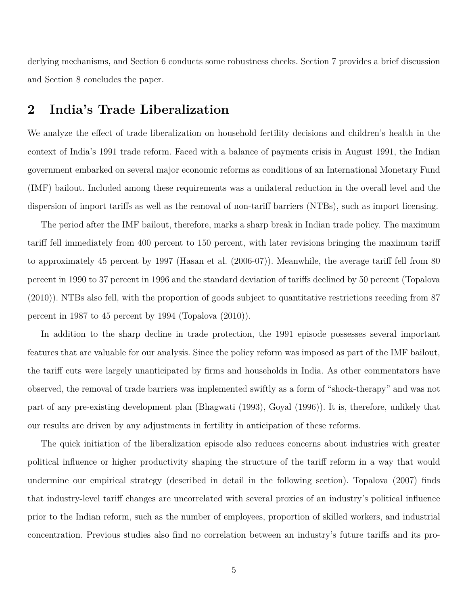derlying mechanisms, and Section 6 conducts some robustness checks. Section 7 provides a brief discussion and Section 8 concludes the paper.

### **2 India's Trade Liberalization**

We analyze the effect of trade liberalization on household fertility decisions and children's health in the context of India's 1991 trade reform. Faced with a balance of payments crisis in August 1991, the Indian government embarked on several major economic reforms as conditions of an International Monetary Fund (IMF) bailout. Included among these requirements was a unilateral reduction in the overall level and the dispersion of import tariffs as well as the removal of non-tariff barriers (NTBs), such as import licensing.

The period after the IMF bailout, therefore, marks a sharp break in Indian trade policy. The maximum tariff fell immediately from 400 percent to 150 percent, with later revisions bringing the maximum tariff to approximately 45 percent by 1997 [\(Hasan et al.](#page-30-1) [\(2006-07\)](#page-30-1)). Meanwhile, the average tariff fell from 80 percent in 1990 to 37 percent in 1996 and the standard deviation of tariffs declined by 50 percent [\(Topalova](#page-32-1) [\(2010\)](#page-32-1)). NTBs also fell, with the proportion of goods subject to quantitative restrictions receding from 87 percent in 1987 to 45 percent by 1994 [\(Topalova](#page-32-1) [\(2010\)](#page-32-1)).

In addition to the sharp decline in trade protection, the 1991 episode possesses several important features that are valuable for our analysis. Since the policy reform was imposed as part of the IMF bailout, the tariff cuts were largely unanticipated by firms and households in India. As other commentators have observed, the removal of trade barriers was implemented swiftly as a form of "shock-therapy" and was not part of any pre-existing development plan [\(Bhagwati](#page-29-11) [\(1993\)](#page-29-11), [Goyal](#page-30-11) [\(1996\)](#page-30-11)). It is, therefore, unlikely that our results are driven by any adjustments in fertility in anticipation of these reforms.

The quick initiation of the liberalization episode also reduces concerns about industries with greater political influence or higher productivity shaping the structure of the tariff reform in a way that would undermine our empirical strategy (described in detail in the following section). [Topalova](#page-32-0) [\(2007\)](#page-32-0) finds that industry-level tariff changes are uncorrelated with several proxies of an industry's political influence prior to the Indian reform, such as the number of employees, proportion of skilled workers, and industrial concentration. Previous studies also find no correlation between an industry's future tariffs and its pro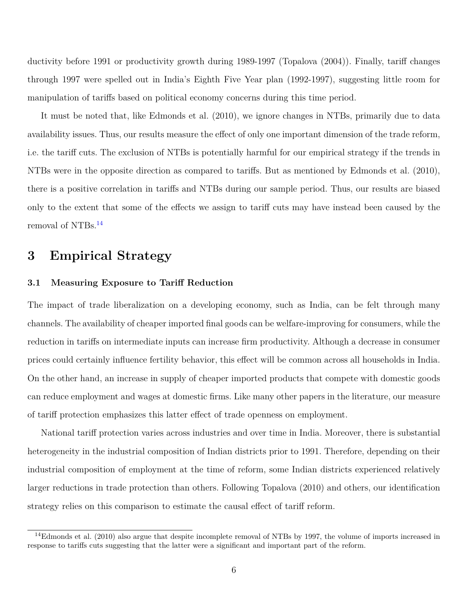ductivity before 1991 or productivity growth during 1989-1997 [\(Topalova](#page-31-11) [\(2004\)](#page-31-11)). Finally, tariff changes through 1997 were spelled out in India's Eighth Five Year plan (1992-1997), suggesting little room for manipulation of tariffs based on political economy concerns during this time period.

It must be noted that, like [Edmonds et al.](#page-30-2) [\(2010\)](#page-30-2), we ignore changes in NTBs, primarily due to data availability issues. Thus, our results measure the effect of only one important dimension of the trade reform, i.e. the tariff cuts. The exclusion of NTBs is potentially harmful for our empirical strategy if the trends in NTBs were in the opposite direction as compared to tariffs. But as mentioned by [Edmonds et al.](#page-30-2) [\(2010\)](#page-30-2), there is a positive correlation in tariffs and NTBs during our sample period. Thus, our results are biased only to the extent that some of the effects we assign to tariff cuts may have instead been caused by the removal of NTBs.[14](#page-8-0)

### **3 Empirical Strategy**

#### **3.1 Measuring Exposure to Tariff Reduction**

The impact of trade liberalization on a developing economy, such as India, can be felt through many channels. The availability of cheaper imported final goods can be welfare-improving for consumers, while the reduction in tariffs on intermediate inputs can increase firm productivity. Although a decrease in consumer prices could certainly influence fertility behavior, this effect will be common across all households in India. On the other hand, an increase in supply of cheaper imported products that compete with domestic goods can reduce employment and wages at domestic firms. Like many other papers in the literature, our measure of tariff protection emphasizes this latter effect of trade openness on employment.

National tariff protection varies across industries and over time in India. Moreover, there is substantial heterogeneity in the industrial composition of Indian districts prior to 1991. Therefore, depending on their industrial composition of employment at the time of reform, some Indian districts experienced relatively larger reductions in trade protection than others. Following [Topalova](#page-32-1) [\(2010\)](#page-32-1) and others, our identification strategy relies on this comparison to estimate the causal effect of tariff reform.

<span id="page-8-0"></span> $14E$ dmonds et al. [\(2010\)](#page-30-2) also argue that despite incomplete removal of NTBs by 1997, the volume of imports increased in response to tariffs cuts suggesting that the latter were a significant and important part of the reform.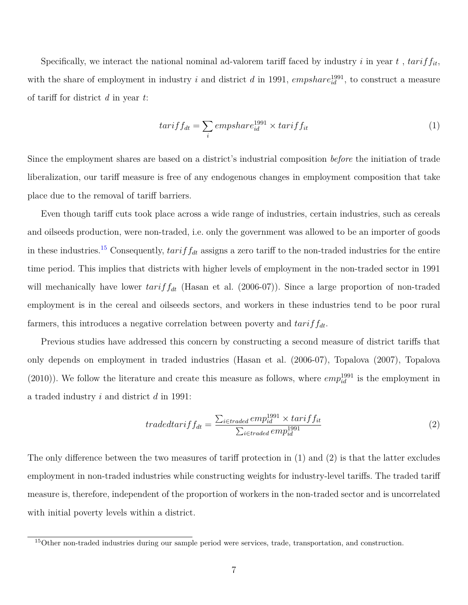Specifically, we interact the national nominal ad-valorem tariff faced by industry  $i$  in year  $t$ ,  $tarif f_{it}$ , with the share of employment in industry *i* and district *d* in 1991,  $empshare^{1991}_{id}$ , to construct a measure of tariff for district *d* in year *t*:

$$
tar if f_{dt} = \sum_{i} empshare^{1991}_{id} \times tarif f_{it}
$$
\n<sup>(1)</sup>

Since the employment shares are based on a district's industrial composition *before* the initiation of trade liberalization, our tariff measure is free of any endogenous changes in employment composition that take place due to the removal of tariff barriers.

Even though tariff cuts took place across a wide range of industries, certain industries, such as cereals and oilseeds production, were non-traded, i.e. only the government was allowed to be an importer of goods in these industries.<sup>[15](#page-9-0)</sup> Consequently,  $tarif f_{dt}$  assigns a zero tariff to the non-traded industries for the entire time period. This implies that districts with higher levels of employment in the non-traded sector in 1991 will mechanically have lower  $tariff_{dt}$  [\(Hasan et al.](#page-30-1) [\(2006-07\)](#page-30-1)). Since a large proportion of non-traded employment is in the cereal and oilseeds sectors, and workers in these industries tend to be poor rural farmers, this introduces a negative correlation between poverty and *tariffdt*.

Previous studies have addressed this concern by constructing a second measure of district tariffs that only depends on employment in traded industries [\(Hasan et al.](#page-30-1) [\(2006-07\)](#page-30-1), [Topalova](#page-32-0) [\(2007\)](#page-32-0), [Topalova](#page-32-1)  $(2010)$ ). We follow the literature and create this measure as follows, where  $empl_{id}^{1991}$  is the employment in a traded industry *i* and district *d* in 1991:

$$
tradedtar if f_{dt} = \frac{\sum_{i \in traded} emp_{id}^{1991} \times tarif f_{it}}{\sum_{i \in traded} emp_{id}^{1991}} \tag{2}
$$

The only difference between the two measures of tariff protection in (1) and (2) is that the latter excludes employment in non-traded industries while constructing weights for industry-level tariffs. The traded tariff measure is, therefore, independent of the proportion of workers in the non-traded sector and is uncorrelated with initial poverty levels within a district.

<span id="page-9-0"></span><sup>15</sup>Other non-traded industries during our sample period were services, trade, transportation, and construction.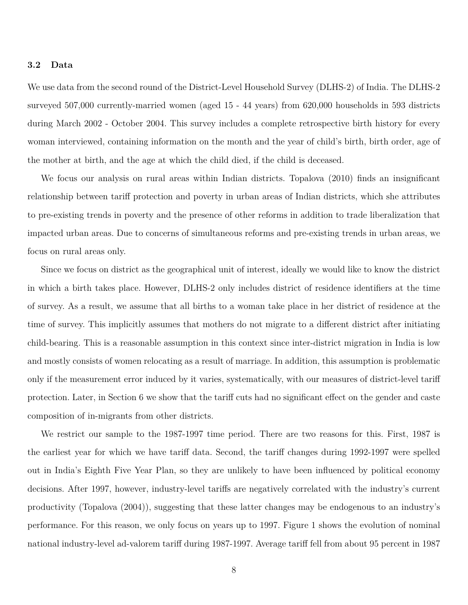#### **3.2 Data**

We use data from the second round of the District-Level Household Survey (DLHS-2) of India. The DLHS-2 surveyed 507,000 currently-married women (aged 15 - 44 years) from 620,000 households in 593 districts during March 2002 - October 2004. This survey includes a complete retrospective birth history for every woman interviewed, containing information on the month and the year of child's birth, birth order, age of the mother at birth, and the age at which the child died, if the child is deceased.

We focus our analysis on rural areas within Indian districts. [Topalova](#page-32-1) [\(2010\)](#page-32-1) finds an insignificant relationship between tariff protection and poverty in urban areas of Indian districts, which she attributes to pre-existing trends in poverty and the presence of other reforms in addition to trade liberalization that impacted urban areas. Due to concerns of simultaneous reforms and pre-existing trends in urban areas, we focus on rural areas only.

Since we focus on district as the geographical unit of interest, ideally we would like to know the district in which a birth takes place. However, DLHS-2 only includes district of residence identifiers at the time of survey. As a result, we assume that all births to a woman take place in her district of residence at the time of survey. This implicitly assumes that mothers do not migrate to a different district after initiating child-bearing. This is a reasonable assumption in this context since inter-district migration in India is low and mostly consists of women relocating as a result of marriage. In addition, this assumption is problematic only if the measurement error induced by it varies, systematically, with our measures of district-level tariff protection. Later, in Section 6 we show that the tariff cuts had no significant effect on the gender and caste composition of in-migrants from other districts.

We restrict our sample to the 1987-1997 time period. There are two reasons for this. First, 1987 is the earliest year for which we have tariff data. Second, the tariff changes during 1992-1997 were spelled out in India's Eighth Five Year Plan, so they are unlikely to have been influenced by political economy decisions. After 1997, however, industry-level tariffs are negatively correlated with the industry's current productivity [\(Topalova](#page-31-11) [\(2004\)](#page-31-11)), suggesting that these latter changes may be endogenous to an industry's performance. For this reason, we only focus on years up to 1997. Figure 1 shows the evolution of nominal national industry-level ad-valorem tariff during 1987-1997. Average tariff fell from about 95 percent in 1987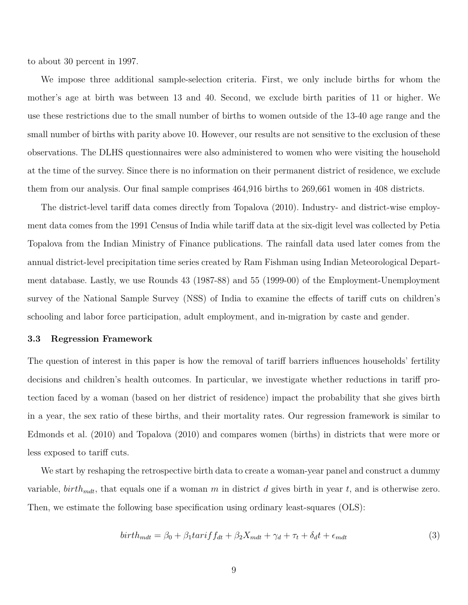to about 30 percent in 1997.

We impose three additional sample-selection criteria. First, we only include births for whom the mother's age at birth was between 13 and 40. Second, we exclude birth parities of 11 or higher. We use these restrictions due to the small number of births to women outside of the 13-40 age range and the small number of births with parity above 10. However, our results are not sensitive to the exclusion of these observations. The DLHS questionnaires were also administered to women who were visiting the household at the time of the survey. Since there is no information on their permanent district of residence, we exclude them from our analysis. Our final sample comprises 464,916 births to 269,661 women in 408 districts.

The district-level tariff data comes directly from [Topalova](#page-32-1) [\(2010\)](#page-32-1). Industry- and district-wise employment data comes from the 1991 Census of India while tariff data at the six-digit level was collected by Petia Topalova from the Indian Ministry of Finance publications. The rainfall data used later comes from the annual district-level precipitation time series created by Ram Fishman using Indian Meteorological Department database. Lastly, we use Rounds 43 (1987-88) and 55 (1999-00) of the Employment-Unemployment survey of the National Sample Survey (NSS) of India to examine the effects of tariff cuts on children's schooling and labor force participation, adult employment, and in-migration by caste and gender.

#### **3.3 Regression Framework**

The question of interest in this paper is how the removal of tariff barriers influences households' fertility decisions and children's health outcomes. In particular, we investigate whether reductions in tariff protection faced by a woman (based on her district of residence) impact the probability that she gives birth in a year, the sex ratio of these births, and their mortality rates. Our regression framework is similar to [Edmonds et al.](#page-30-2) [\(2010\)](#page-30-2) and [Topalova](#page-32-1) [\(2010\)](#page-32-1) and compares women (births) in districts that were more or less exposed to tariff cuts.

We start by reshaping the retrospective birth data to create a woman-year panel and construct a dummy variable, *birthmdt*, that equals one if a woman *m* in district *d* gives birth in year *t*, and is otherwise zero. Then, we estimate the following base specification using ordinary least-squares (OLS):

$$
birth_{mdt} = \beta_0 + \beta_1 \tan if f_{dt} + \beta_2 X_{mdt} + \gamma_d + \tau_t + \delta_d t + \epsilon_{mdt}
$$
\n(3)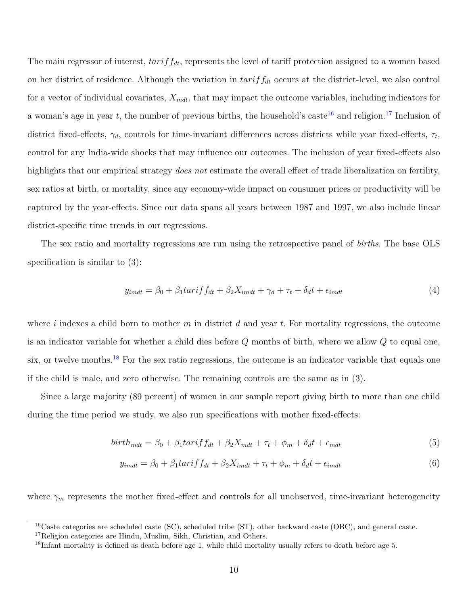The main regressor of interest, *tariffdt*, represents the level of tariff protection assigned to a women based on her district of residence. Although the variation in *tariffdt* occurs at the district-level, we also control for a vector of individual covariates, *Xmdt*, that may impact the outcome variables, including indicators for a woman's age in year  $t$ , the number of previous births, the household's caste<sup>[16](#page-12-0)</sup> and religion.<sup>[17](#page-12-1)</sup> Inclusion of district fixed-effects, *γd*, controls for time-invariant differences across districts while year fixed-effects, *τ<sup>t</sup>* , control for any India-wide shocks that may influence our outcomes. The inclusion of year fixed-effects also highlights that our empirical strategy *does not* estimate the overall effect of trade liberalization on fertility, sex ratios at birth, or mortality, since any economy-wide impact on consumer prices or productivity will be captured by the year-effects. Since our data spans all years between 1987 and 1997, we also include linear district-specific time trends in our regressions.

The sex ratio and mortality regressions are run using the retrospective panel of *births*. The base OLS specification is similar to  $(3)$ :

$$
y_{imdt} = \beta_0 + \beta_1 \tan\left(\frac{f_{dt}}{f_{dt}} + \beta_2 X_{imdt} + \gamma_d + \tau_t + \delta_d t + \epsilon_{imdt} \right) \tag{4}
$$

where *i* indexes a child born to mother *m* in district *d* and year *t*. For mortality regressions, the outcome is an indicator variable for whether a child dies before *Q* months of birth, where we allow *Q* to equal one, six, or twelve months.<sup>[18](#page-12-2)</sup> For the sex ratio regressions, the outcome is an indicator variable that equals one if the child is male, and zero otherwise. The remaining controls are the same as in (3).

Since a large majority (89 percent) of women in our sample report giving birth to more than one child during the time period we study, we also run specifications with mother fixed-effects:

$$
birth_{mdt} = \beta_0 + \beta_1 \text{tar} \text{if } f_{dt} + \beta_2 X_{mdt} + \tau_t + \phi_m + \delta_d t + \epsilon_{mdt} \tag{5}
$$

$$
y_{imdt} = \beta_0 + \beta_1 \text{tar} \text{if } f_{dt} + \beta_2 X_{imdt} + \tau_t + \phi_m + \delta_d t + \epsilon_{imdt}
$$
\n
$$
\tag{6}
$$

where  $\gamma_m$  represents the mother fixed-effect and controls for all unobserved, time-invariant heterogeneity

<span id="page-12-0"></span><sup>&</sup>lt;sup>16</sup>Caste categories are scheduled caste (SC), scheduled tribe (ST), other backward caste (OBC), and general caste.

<span id="page-12-1"></span><sup>&</sup>lt;sup>17</sup>Religion categories are Hindu, Muslim, Sikh, Christian, and Others.

<span id="page-12-2"></span><sup>18</sup>Infant mortality is defined as death before age 1, while child mortality usually refers to death before age 5.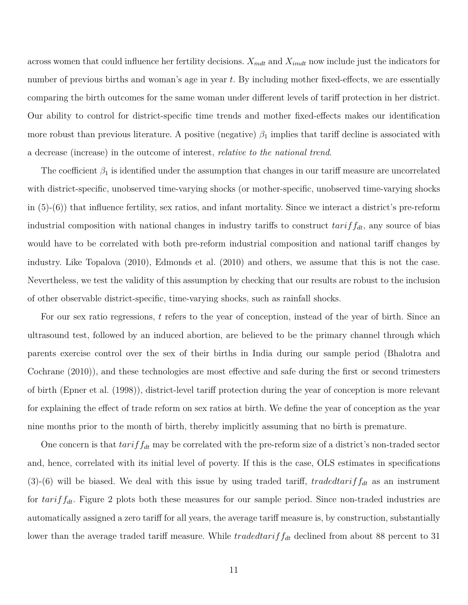across women that could influence her fertility decisions.  $X_{mdt}$  and  $X_{imdt}$  now include just the indicators for number of previous births and woman's age in year *t*. By including mother fixed-effects, we are essentially comparing the birth outcomes for the same woman under different levels of tariff protection in her district. Our ability to control for district-specific time trends and mother fixed-effects makes our identification more robust than previous literature. A positive (negative)  $\beta_1$  implies that tariff decline is associated with a decrease (increase) in the outcome of interest, *relative to the national trend*.

The coefficient  $\beta_1$  is identified under the assumption that changes in our tariff measure are uncorrelated with district-specific, unobserved time-varying shocks (or mother-specific, unobserved time-varying shocks in (5)-(6)) that influence fertility, sex ratios, and infant mortality. Since we interact a district's pre-reform industrial composition with national changes in industry tariffs to construct *tariffdt*, any source of bias would have to be correlated with both pre-reform industrial composition and national tariff changes by industry. Like [Topalova](#page-32-1) [\(2010\)](#page-32-1), [Edmonds et al.](#page-30-2) [\(2010\)](#page-30-2) and others, we assume that this is not the case. Nevertheless, we test the validity of this assumption by checking that our results are robust to the inclusion of other observable district-specific, time-varying shocks, such as rainfall shocks.

For our sex ratio regressions, *t* refers to the year of conception, instead of the year of birth. Since an ultrasound test, followed by an induced abortion, are believed to be the primary channel through which parents exercise control over the sex of their births in India during our sample period [\(Bhalotra and](#page-29-12) [Cochrane](#page-29-12) [\(2010\)](#page-29-12)), and these technologies are most effective and safe during the first or second trimesters of birth [\(Epner et al.](#page-30-12) [\(1998\)](#page-30-12)), district-level tariff protection during the year of conception is more relevant for explaining the effect of trade reform on sex ratios at birth. We define the year of conception as the year nine months prior to the month of birth, thereby implicitly assuming that no birth is premature.

One concern is that  $tariff_{dt}$  may be correlated with the pre-reform size of a district's non-traded sector and, hence, correlated with its initial level of poverty. If this is the case, OLS estimates in specifications (3)-(6) will be biased. We deal with this issue by using traded tariff, *tradedtariff<sub>dt</sub>* as an instrument for *tariffdt*. Figure 2 plots both these measures for our sample period. Since non-traded industries are automatically assigned a zero tariff for all years, the average tariff measure is, by construction, substantially lower than the average traded tariff measure. While *tradedtariff<sub>dt</sub>* declined from about 88 percent to 31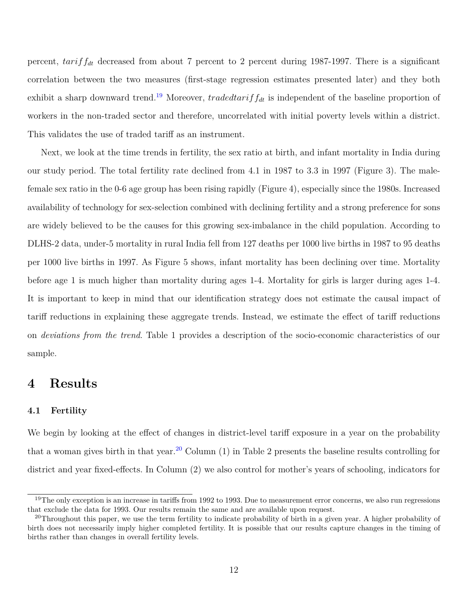percent, *tariffdt* decreased from about 7 percent to 2 percent during 1987-1997. There is a significant correlation between the two measures (first-stage regression estimates presented later) and they both exhibit a sharp downward trend.<sup>[19](#page-14-0)</sup> Moreover, *tradedtarif*  $f_{dt}$  is independent of the baseline proportion of workers in the non-traded sector and therefore, uncorrelated with initial poverty levels within a district. This validates the use of traded tariff as an instrument.

Next, we look at the time trends in fertility, the sex ratio at birth, and infant mortality in India during our study period. The total fertility rate declined from 4.1 in 1987 to 3.3 in 1997 (Figure 3). The malefemale sex ratio in the 0-6 age group has been rising rapidly (Figure 4), especially since the 1980s. Increased availability of technology for sex-selection combined with declining fertility and a strong preference for sons are widely believed to be the causes for this growing sex-imbalance in the child population. According to DLHS-2 data, under-5 mortality in rural India fell from 127 deaths per 1000 live births in 1987 to 95 deaths per 1000 live births in 1997. As Figure 5 shows, infant mortality has been declining over time. Mortality before age 1 is much higher than mortality during ages 1-4. Mortality for girls is larger during ages 1-4. It is important to keep in mind that our identification strategy does not estimate the causal impact of tariff reductions in explaining these aggregate trends. Instead, we estimate the effect of tariff reductions on *deviations from the trend*. Table 1 provides a description of the socio-economic characteristics of our sample.

### **4 Results**

#### **4.1 Fertility**

We begin by looking at the effect of changes in district-level tariff exposure in a year on the probability that a woman gives birth in that year.<sup>[20](#page-14-1)</sup> Column  $(1)$  in Table 2 presents the baseline results controlling for district and year fixed-effects. In Column (2) we also control for mother's years of schooling, indicators for

<span id="page-14-0"></span> $19$ The only exception is an increase in tariffs from 1992 to 1993. Due to measurement error concerns, we also run regressions that exclude the data for 1993. Our results remain the same and are available upon request.

<span id="page-14-1"></span><sup>&</sup>lt;sup>20</sup>Throughout this paper, we use the term fertility to indicate probability of birth in a given year. A higher probability of birth does not necessarily imply higher completed fertility. It is possible that our results capture changes in the timing of births rather than changes in overall fertility levels.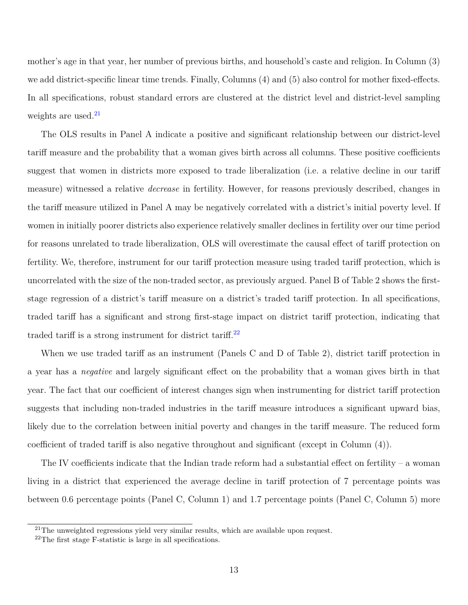mother's age in that year, her number of previous births, and household's caste and religion. In Column (3) we add district-specific linear time trends. Finally, Columns (4) and (5) also control for mother fixed-effects. In all specifications, robust standard errors are clustered at the district level and district-level sampling weights are used. $21$ 

The OLS results in Panel A indicate a positive and significant relationship between our district-level tariff measure and the probability that a woman gives birth across all columns. These positive coefficients suggest that women in districts more exposed to trade liberalization (i.e. a relative decline in our tariff measure) witnessed a relative *decrease* in fertility. However, for reasons previously described, changes in the tariff measure utilized in Panel A may be negatively correlated with a district's initial poverty level. If women in initially poorer districts also experience relatively smaller declines in fertility over our time period for reasons unrelated to trade liberalization, OLS will overestimate the causal effect of tariff protection on fertility. We, therefore, instrument for our tariff protection measure using traded tariff protection, which is uncorrelated with the size of the non-traded sector, as previously argued. Panel B of Table 2 shows the firststage regression of a district's tariff measure on a district's traded tariff protection. In all specifications, traded tariff has a significant and strong first-stage impact on district tariff protection, indicating that traded tariff is a strong instrument for district tariff. $^{22}$  $^{22}$  $^{22}$ 

When we use traded tariff as an instrument (Panels C and D of Table 2), district tariff protection in a year has a *negative* and largely significant effect on the probability that a woman gives birth in that year. The fact that our coefficient of interest changes sign when instrumenting for district tariff protection suggests that including non-traded industries in the tariff measure introduces a significant upward bias, likely due to the correlation between initial poverty and changes in the tariff measure. The reduced form coefficient of traded tariff is also negative throughout and significant (except in Column (4)).

The IV coefficients indicate that the Indian trade reform had a substantial effect on fertility – a woman living in a district that experienced the average decline in tariff protection of 7 percentage points was between 0.6 percentage points (Panel C, Column 1) and 1.7 percentage points (Panel C, Column 5) more

<span id="page-15-0"></span> $21$ The unweighted regressions yield very similar results, which are available upon request.

<span id="page-15-1"></span><sup>22</sup>The first stage F-statistic is large in all specifications.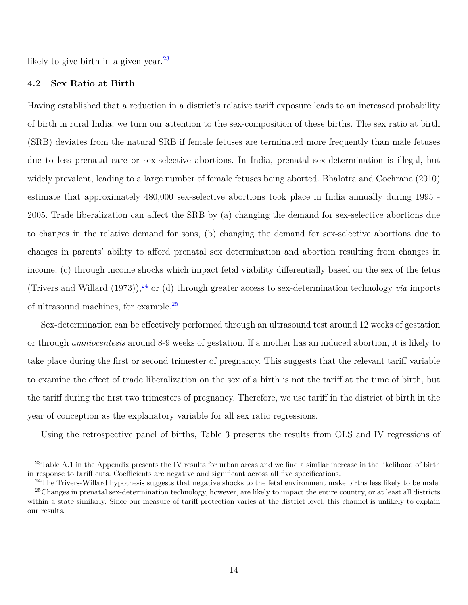likely to give birth in a given year.<sup>[23](#page-16-0)</sup>

#### **4.2 Sex Ratio at Birth**

Having established that a reduction in a district's relative tariff exposure leads to an increased probability of birth in rural India, we turn our attention to the sex-composition of these births. The sex ratio at birth (SRB) deviates from the natural SRB if female fetuses are terminated more frequently than male fetuses due to less prenatal care or sex-selective abortions. In India, prenatal sex-determination is illegal, but widely prevalent, leading to a large number of female fetuses being aborted. [Bhalotra and Cochrane](#page-29-12) [\(2010\)](#page-29-12) estimate that approximately 480,000 sex-selective abortions took place in India annually during 1995 - 2005. Trade liberalization can affect the SRB by (a) changing the demand for sex-selective abortions due to changes in the relative demand for sons, (b) changing the demand for sex-selective abortions due to changes in parents' ability to afford prenatal sex determination and abortion resulting from changes in income, (c) through income shocks which impact fetal viability differentially based on the sex of the fetus [\(Trivers and Willard](#page-32-5)  $(1973)$ ),<sup>[24](#page-16-1)</sup> or (d) through greater access to sex-determination technology *via* imports of ultrasound machines, for example.[25](#page-16-2)

Sex-determination can be effectively performed through an ultrasound test around 12 weeks of gestation or through *amniocentesis* around 8-9 weeks of gestation. If a mother has an induced abortion, it is likely to take place during the first or second trimester of pregnancy. This suggests that the relevant tariff variable to examine the effect of trade liberalization on the sex of a birth is not the tariff at the time of birth, but the tariff during the first two trimesters of pregnancy. Therefore, we use tariff in the district of birth in the year of conception as the explanatory variable for all sex ratio regressions.

Using the retrospective panel of births, Table 3 presents the results from OLS and IV regressions of

<span id="page-16-0"></span><sup>&</sup>lt;sup>23</sup>Table A.1 in the Appendix presents the IV results for urban areas and we find a similar increase in the likelihood of birth in response to tariff cuts. Coefficients are negative and significant across all five specifications.

<span id="page-16-2"></span><span id="page-16-1"></span> $^{24}$ The Trivers-Willard hypothesis suggests that negative shocks to the fetal environment make births less likely to be male.

<sup>&</sup>lt;sup>25</sup>Changes in prenatal sex-determination technology, however, are likely to impact the entire country, or at least all districts within a state similarly. Since our measure of tariff protection varies at the district level, this channel is unlikely to explain our results.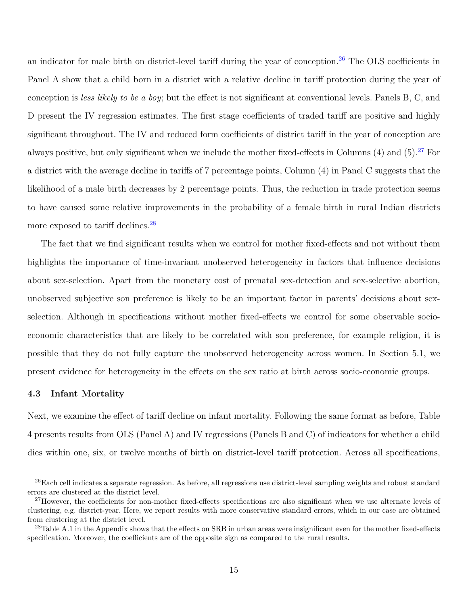an indicator for male birth on district-level tariff during the year of conception.<sup>[26](#page-17-0)</sup> The OLS coefficients in Panel A show that a child born in a district with a relative decline in tariff protection during the year of conception is *less likely to be a boy*; but the effect is not significant at conventional levels. Panels B, C, and D present the IV regression estimates. The first stage coefficients of traded tariff are positive and highly significant throughout. The IV and reduced form coefficients of district tariff in the year of conception are always positive, but only significant when we include the mother fixed-effects in Columns  $(4)$  and  $(5)$ .<sup>[27](#page-17-1)</sup> For a district with the average decline in tariffs of 7 percentage points, Column (4) in Panel C suggests that the likelihood of a male birth decreases by 2 percentage points. Thus, the reduction in trade protection seems to have caused some relative improvements in the probability of a female birth in rural Indian districts more exposed to tariff declines.<sup>[28](#page-17-2)</sup>

The fact that we find significant results when we control for mother fixed-effects and not without them highlights the importance of time-invariant unobserved heterogeneity in factors that influence decisions about sex-selection. Apart from the monetary cost of prenatal sex-detection and sex-selective abortion, unobserved subjective son preference is likely to be an important factor in parents' decisions about sexselection. Although in specifications without mother fixed-effects we control for some observable socioeconomic characteristics that are likely to be correlated with son preference, for example religion, it is possible that they do not fully capture the unobserved heterogeneity across women. In Section 5.1, we present evidence for heterogeneity in the effects on the sex ratio at birth across socio-economic groups.

#### **4.3 Infant Mortality**

Next, we examine the effect of tariff decline on infant mortality. Following the same format as before, Table 4 presents results from OLS (Panel A) and IV regressions (Panels B and C) of indicators for whether a child dies within one, six, or twelve months of birth on district-level tariff protection. Across all specifications,

<span id="page-17-0"></span><sup>&</sup>lt;sup>26</sup>Each cell indicates a separate regression. As before, all regressions use district-level sampling weights and robust standard errors are clustered at the district level.

<span id="page-17-1"></span><sup>&</sup>lt;sup>27</sup>However, the coefficients for non-mother fixed-effects specifications are also significant when we use alternate levels of clustering, e.g. district-year. Here, we report results with more conservative standard errors, which in our case are obtained from clustering at the district level.

<span id="page-17-2"></span><sup>&</sup>lt;sup>28</sup>Table A.1 in the Appendix shows that the effects on SRB in urban areas were insignificant even for the mother fixed-effects specification. Moreover, the coefficients are of the opposite sign as compared to the rural results.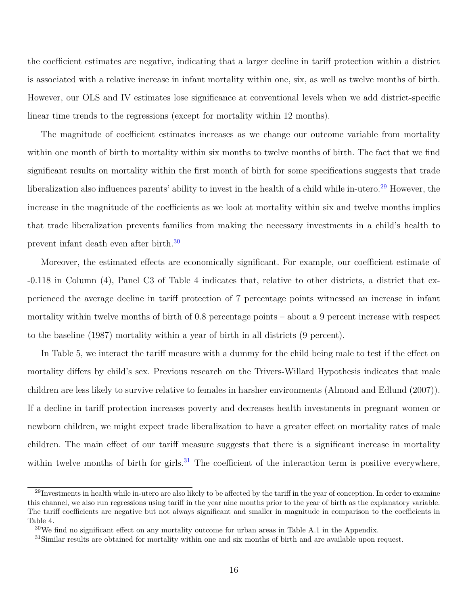the coefficient estimates are negative, indicating that a larger decline in tariff protection within a district is associated with a relative increase in infant mortality within one, six, as well as twelve months of birth. However, our OLS and IV estimates lose significance at conventional levels when we add district-specific linear time trends to the regressions (except for mortality within 12 months).

The magnitude of coefficient estimates increases as we change our outcome variable from mortality within one month of birth to mortality within six months to twelve months of birth. The fact that we find significant results on mortality within the first month of birth for some specifications suggests that trade liberalization also influences parents' ability to invest in the health of a child while in-utero.<sup>[29](#page-18-0)</sup> However, the increase in the magnitude of the coefficients as we look at mortality within six and twelve months implies that trade liberalization prevents families from making the necessary investments in a child's health to prevent infant death even after birth.[30](#page-18-1)

Moreover, the estimated effects are economically significant. For example, our coefficient estimate of -0.118 in Column (4), Panel C3 of Table 4 indicates that, relative to other districts, a district that experienced the average decline in tariff protection of 7 percentage points witnessed an increase in infant mortality within twelve months of birth of 0.8 percentage points – about a 9 percent increase with respect to the baseline (1987) mortality within a year of birth in all districts (9 percent).

In Table 5, we interact the tariff measure with a dummy for the child being male to test if the effect on mortality differs by child's sex. Previous research on the Trivers-Willard Hypothesis indicates that male children are less likely to survive relative to females in harsher environments [\(Almond and Edlund](#page-29-13) [\(2007\)](#page-29-13)). If a decline in tariff protection increases poverty and decreases health investments in pregnant women or newborn children, we might expect trade liberalization to have a greater effect on mortality rates of male children. The main effect of our tariff measure suggests that there is a significant increase in mortality within twelve months of birth for girls.<sup>[31](#page-18-2)</sup> The coefficient of the interaction term is positive everywhere,

<span id="page-18-0"></span> $^{29}$ Investments in health while in-utero are also likely to be affected by the tariff in the year of conception. In order to examine this channel, we also run regressions using tariff in the year nine months prior to the year of birth as the explanatory variable. The tariff coefficients are negative but not always significant and smaller in magnitude in comparison to the coefficients in Table 4.

<span id="page-18-1"></span> $30\text{We find no significant effect on any mortality outcome for urban areas in Table A.1 in the Appendix.}$ 

<span id="page-18-2"></span><sup>&</sup>lt;sup>31</sup>Similar results are obtained for mortality within one and six months of birth and are available upon request.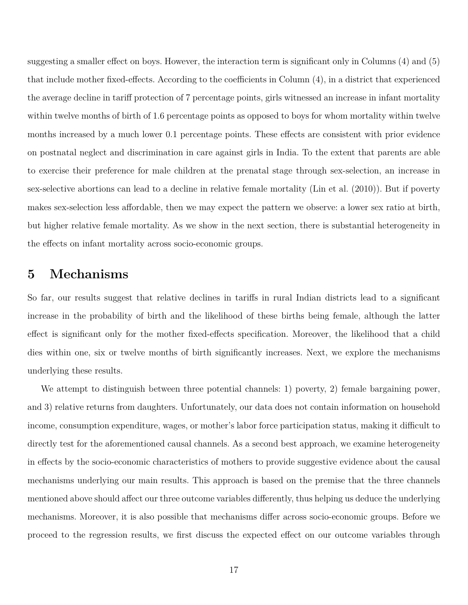suggesting a smaller effect on boys. However, the interaction term is significant only in Columns (4) and (5) that include mother fixed-effects. According to the coefficients in Column (4), in a district that experienced the average decline in tariff protection of 7 percentage points, girls witnessed an increase in infant mortality within twelve months of birth of 1.6 percentage points as opposed to boys for whom mortality within twelve months increased by a much lower 0.1 percentage points. These effects are consistent with prior evidence on postnatal neglect and discrimination in care against girls in India. To the extent that parents are able to exercise their preference for male children at the prenatal stage through sex-selection, an increase in sex-selective abortions can lead to a decline in relative female mortality [\(Lin et al.](#page-31-12) [\(2010\)](#page-31-12)). But if poverty makes sex-selection less affordable, then we may expect the pattern we observe: a lower sex ratio at birth, but higher relative female mortality. As we show in the next section, there is substantial heterogeneity in the effects on infant mortality across socio-economic groups.

### **5 Mechanisms**

So far, our results suggest that relative declines in tariffs in rural Indian districts lead to a significant increase in the probability of birth and the likelihood of these births being female, although the latter effect is significant only for the mother fixed-effects specification. Moreover, the likelihood that a child dies within one, six or twelve months of birth significantly increases. Next, we explore the mechanisms underlying these results.

We attempt to distinguish between three potential channels: 1) poverty, 2) female bargaining power, and 3) relative returns from daughters. Unfortunately, our data does not contain information on household income, consumption expenditure, wages, or mother's labor force participation status, making it difficult to directly test for the aforementioned causal channels. As a second best approach, we examine heterogeneity in effects by the socio-economic characteristics of mothers to provide suggestive evidence about the causal mechanisms underlying our main results. This approach is based on the premise that the three channels mentioned above should affect our three outcome variables differently, thus helping us deduce the underlying mechanisms. Moreover, it is also possible that mechanisms differ across socio-economic groups. Before we proceed to the regression results, we first discuss the expected effect on our outcome variables through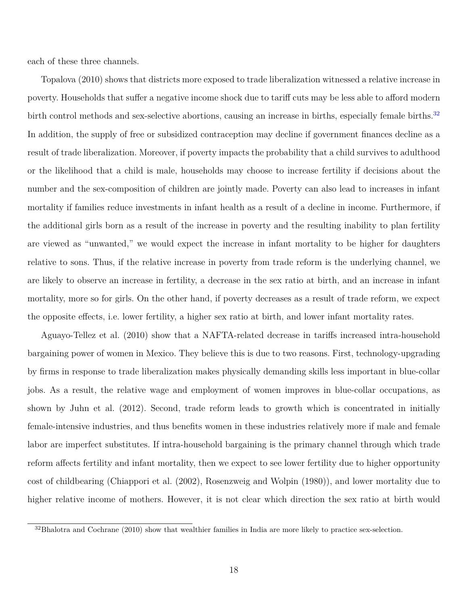each of these three channels.

[Topalova](#page-32-1) [\(2010\)](#page-32-1) shows that districts more exposed to trade liberalization witnessed a relative increase in poverty. Households that suffer a negative income shock due to tariff cuts may be less able to afford modern birth control methods and sex-selective abortions, causing an increase in births, especially female births.<sup>[32](#page-20-0)</sup> In addition, the supply of free or subsidized contraception may decline if government finances decline as a result of trade liberalization. Moreover, if poverty impacts the probability that a child survives to adulthood or the likelihood that a child is male, households may choose to increase fertility if decisions about the number and the sex-composition of children are jointly made. Poverty can also lead to increases in infant mortality if families reduce investments in infant health as a result of a decline in income. Furthermore, if the additional girls born as a result of the increase in poverty and the resulting inability to plan fertility are viewed as "unwanted," we would expect the increase in infant mortality to be higher for daughters relative to sons. Thus, if the relative increase in poverty from trade reform is the underlying channel, we are likely to observe an increase in fertility, a decrease in the sex ratio at birth, and an increase in infant mortality, more so for girls. On the other hand, if poverty decreases as a result of trade reform, we expect the opposite effects, i.e. lower fertility, a higher sex ratio at birth, and lower infant mortality rates.

[Aguayo-Tellez et al.](#page-29-14) [\(2010\)](#page-29-14) show that a NAFTA-related decrease in tariffs increased intra-household bargaining power of women in Mexico. They believe this is due to two reasons. First, technology-upgrading by firms in response to trade liberalization makes physically demanding skills less important in blue-collar jobs. As a result, the relative wage and employment of women improves in blue-collar occupations, as shown by [Juhn et al.](#page-30-13) [\(2012\)](#page-30-13). Second, trade reform leads to growth which is concentrated in initially female-intensive industries, and thus benefits women in these industries relatively more if male and female labor are imperfect substitutes. If intra-household bargaining is the primary channel through which trade reform affects fertility and infant mortality, then we expect to see lower fertility due to higher opportunity cost of childbearing [\(Chiappori et al.](#page-29-15) [\(2002\)](#page-29-15), [Rosenzweig and Wolpin](#page-31-13) [\(1980\)](#page-31-13)), and lower mortality due to higher relative income of mothers. However, it is not clear which direction the sex ratio at birth would

<span id="page-20-0"></span><sup>&</sup>lt;sup>32</sup>[Bhalotra and Cochrane](#page-29-12) [\(2010\)](#page-29-12) show that wealthier families in India are more likely to practice sex-selection.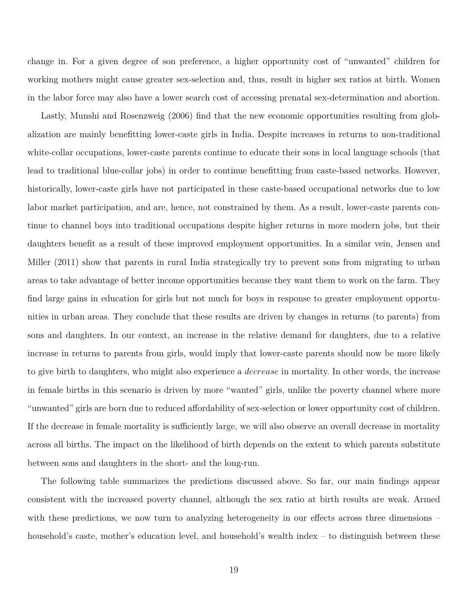change in. For a given degree of son preference, a higher opportunity cost of "unwanted" children for working mothers might cause greater sex-selection and, thus, result in higher sex ratios at birth. Women in the labor force may also have a lower search cost of accessing prenatal sex-determination and abortion.

Lastly, [Munshi and Rosenzweig](#page-31-8) [\(2006\)](#page-31-8) find that the new economic opportunities resulting from globalization are mainly benefitting lower-caste girls in India. Despite increases in returns to non-traditional white-collar occupations, lower-caste parents continue to educate their sons in local language schools (that lead to traditional blue-collar jobs) in order to continue benefitting from caste-based networks. However, historically, lower-caste girls have not participated in these caste-based occupational networks due to low labor market participation, and are, hence, not constrained by them. As a result, lower-caste parents continue to channel boys into traditional occupations despite higher returns in more modern jobs, but their daughters benefit as a result of these improved employment opportunities. In a similar vein, [Jensen and](#page-30-14) [Miller](#page-30-14) [\(2011\)](#page-30-14) show that parents in rural India strategically try to prevent sons from migrating to urban areas to take advantage of better income opportunities because they want them to work on the farm. They find large gains in education for girls but not much for boys in response to greater employment opportunities in urban areas. They conclude that these results are driven by changes in returns (to parents) from sons and daughters. In our context, an increase in the relative demand for daughters, due to a relative increase in returns to parents from girls, would imply that lower-caste parents should now be more likely to give birth to daughters, who might also experience a *decrease* in mortality. In other words, the increase in female births in this scenario is driven by more "wanted" girls, unlike the poverty channel where more "unwanted" girls are born due to reduced affordability of sex-selection or lower opportunity cost of children. If the decrease in female mortality is sufficiently large, we will also observe an overall decrease in mortality across all births. The impact on the likelihood of birth depends on the extent to which parents substitute between sons and daughters in the short- and the long-run.

The following table summarizes the predictions discussed above. So far, our main findings appear consistent with the increased poverty channel, although the sex ratio at birth results are weak. Armed with these predictions, we now turn to analyzing heterogeneity in our effects across three dimensions – household's caste, mother's education level, and household's wealth index – to distinguish between these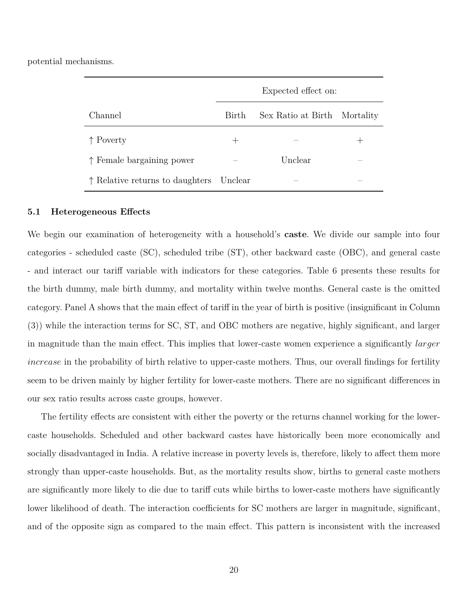potential mechanisms.

|                                          | Expected effect on: |                    |           |  |
|------------------------------------------|---------------------|--------------------|-----------|--|
| Channel                                  | Birth               | Sex Ratio at Birth | Mortality |  |
| $\uparrow$ Poverty                       |                     |                    |           |  |
| $\uparrow$ Female bargaining power       |                     | Unclear            |           |  |
| $\uparrow$ Relative returns to daughters | Unclear             |                    |           |  |

#### **5.1 Heterogeneous Effects**

We begin our examination of heterogeneity with a household's **caste**. We divide our sample into four categories - scheduled caste (SC), scheduled tribe (ST), other backward caste (OBC), and general caste - and interact our tariff variable with indicators for these categories. Table 6 presents these results for the birth dummy, male birth dummy, and mortality within twelve months. General caste is the omitted category. Panel A shows that the main effect of tariff in the year of birth is positive (insignificant in Column (3)) while the interaction terms for SC, ST, and OBC mothers are negative, highly significant, and larger in magnitude than the main effect. This implies that lower-caste women experience a significantly *larger increase* in the probability of birth relative to upper-caste mothers. Thus, our overall findings for fertility seem to be driven mainly by higher fertility for lower-caste mothers. There are no significant differences in our sex ratio results across caste groups, however.

The fertility effects are consistent with either the poverty or the returns channel working for the lowercaste households. Scheduled and other backward castes have historically been more economically and socially disadvantaged in India. A relative increase in poverty levels is, therefore, likely to affect them more strongly than upper-caste households. But, as the mortality results show, births to general caste mothers are significantly more likely to die due to tariff cuts while births to lower-caste mothers have significantly lower likelihood of death. The interaction coefficients for SC mothers are larger in magnitude, significant, and of the opposite sign as compared to the main effect. This pattern is inconsistent with the increased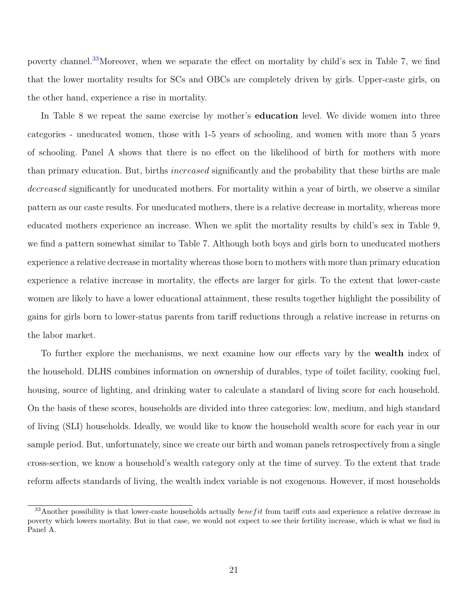poverty channel.[33](#page-23-0)Moreover, when we separate the effect on mortality by child's sex in Table 7, we find that the lower mortality results for SCs and OBCs are completely driven by girls. Upper-caste girls, on the other hand, experience a rise in mortality.

In Table 8 we repeat the same exercise by mother's **education** level. We divide women into three categories - uneducated women, those with 1-5 years of schooling, and women with more than 5 years of schooling. Panel A shows that there is no effect on the likelihood of birth for mothers with more than primary education. But, births *increased* significantly and the probability that these births are male *decreased* significantly for uneducated mothers. For mortality within a year of birth, we observe a similar pattern as our caste results. For uneducated mothers, there is a relative decrease in mortality, whereas more educated mothers experience an increase. When we split the mortality results by child's sex in Table 9, we find a pattern somewhat similar to Table 7. Although both boys and girls born to uneducated mothers experience a relative decrease in mortality whereas those born to mothers with more than primary education experience a relative increase in mortality, the effects are larger for girls. To the extent that lower-caste women are likely to have a lower educational attainment, these results together highlight the possibility of gains for girls born to lower-status parents from tariff reductions through a relative increase in returns on the labor market.

To further explore the mechanisms, we next examine how our effects vary by the **wealth** index of the household. DLHS combines information on ownership of durables, type of toilet facility, cooking fuel, housing, source of lighting, and drinking water to calculate a standard of living score for each household. On the basis of these scores, households are divided into three categories: low, medium, and high standard of living (SLI) households. Ideally, we would like to know the household wealth score for each year in our sample period. But, unfortunately, since we create our birth and woman panels retrospectively from a single cross-section, we know a household's wealth category only at the time of survey. To the extent that trade reform affects standards of living, the wealth index variable is not exogenous. However, if most households

<span id="page-23-0"></span> $33$ Another possibility is that lower-caste households actually *benefit* from tariff cuts and experience a relative decrease in poverty which lowers mortality. But in that case, we would not expect to see their fertility increase, which is what we find in Panel A.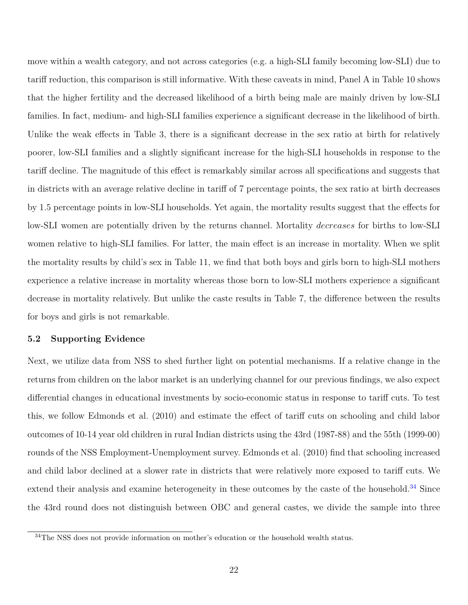move within a wealth category, and not across categories (e.g. a high-SLI family becoming low-SLI) due to tariff reduction, this comparison is still informative. With these caveats in mind, Panel A in Table 10 shows that the higher fertility and the decreased likelihood of a birth being male are mainly driven by low-SLI families. In fact, medium- and high-SLI families experience a significant decrease in the likelihood of birth. Unlike the weak effects in Table 3, there is a significant decrease in the sex ratio at birth for relatively poorer, low-SLI families and a slightly significant increase for the high-SLI households in response to the tariff decline. The magnitude of this effect is remarkably similar across all specifications and suggests that in districts with an average relative decline in tariff of 7 percentage points, the sex ratio at birth decreases by 1.5 percentage points in low-SLI households. Yet again, the mortality results suggest that the effects for low-SLI women are potentially driven by the returns channel. Mortality *decreases* for births to low-SLI women relative to high-SLI families. For latter, the main effect is an increase in mortality. When we split the mortality results by child's sex in Table 11, we find that both boys and girls born to high-SLI mothers experience a relative increase in mortality whereas those born to low-SLI mothers experience a significant decrease in mortality relatively. But unlike the caste results in Table 7, the difference between the results for boys and girls is not remarkable.

#### **5.2 Supporting Evidence**

Next, we utilize data from NSS to shed further light on potential mechanisms. If a relative change in the returns from children on the labor market is an underlying channel for our previous findings, we also expect differential changes in educational investments by socio-economic status in response to tariff cuts. To test this, we follow [Edmonds et al.](#page-30-2) [\(2010\)](#page-30-2) and estimate the effect of tariff cuts on schooling and child labor outcomes of 10-14 year old children in rural Indian districts using the 43rd (1987-88) and the 55th (1999-00) rounds of the NSS Employment-Unemployment survey. [Edmonds et al.](#page-30-2) [\(2010\)](#page-30-2) find that schooling increased and child labor declined at a slower rate in districts that were relatively more exposed to tariff cuts. We extend their analysis and examine heterogeneity in these outcomes by the caste of the household.<sup>[34](#page-24-0)</sup> Since the 43rd round does not distinguish between OBC and general castes, we divide the sample into three

<span id="page-24-0"></span> $34\mathrm{The}$  NSS does not provide information on mother's education or the household wealth status.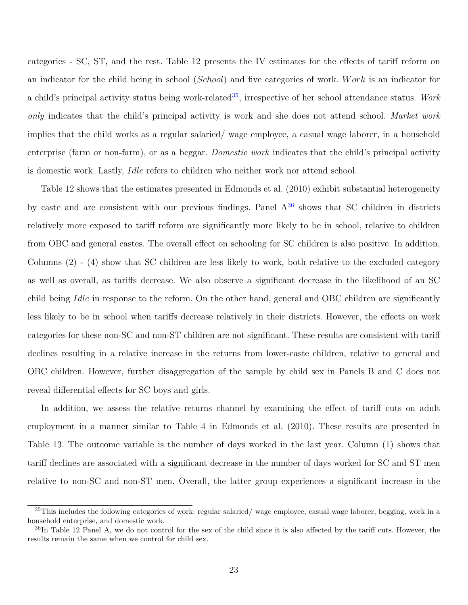categories - SC, ST, and the rest. Table 12 presents the IV estimates for the effects of tariff reform on an indicator for the child being in school (*School*) and five categories of work. *W ork* is an indicator for a child's principal activity status being work-related[35](#page-25-0), irrespective of her school attendance status. *Work only* indicates that the child's principal activity is work and she does not attend school. *Market work* implies that the child works as a regular salaried/ wage employee, a casual wage laborer, in a household enterprise (farm or non-farm), or as a beggar. *Domestic work* indicates that the child's principal activity is domestic work. Lastly, *Idle* refers to children who neither work nor attend school.

Table 12 shows that the estimates presented in [Edmonds et al.](#page-30-2) [\(2010\)](#page-30-2) exhibit substantial heterogeneity by caste and are consistent with our previous findings. Panel  $A^{36}$  $A^{36}$  $A^{36}$  shows that SC children in districts relatively more exposed to tariff reform are significantly more likely to be in school, relative to children from OBC and general castes. The overall effect on schooling for SC children is also positive. In addition, Columns (2) - (4) show that SC children are less likely to work, both relative to the excluded category as well as overall, as tariffs decrease. We also observe a significant decrease in the likelihood of an SC child being *Idle* in response to the reform. On the other hand, general and OBC children are significantly less likely to be in school when tariffs decrease relatively in their districts. However, the effects on work categories for these non-SC and non-ST children are not significant. These results are consistent with tariff declines resulting in a relative increase in the returns from lower-caste children, relative to general and OBC children. However, further disaggregation of the sample by child sex in Panels B and C does not reveal differential effects for SC boys and girls.

In addition, we assess the relative returns channel by examining the effect of tariff cuts on adult employment in a manner similar to Table 4 in [Edmonds et al.](#page-30-2) [\(2010\)](#page-30-2). These results are presented in Table 13. The outcome variable is the number of days worked in the last year. Column (1) shows that tariff declines are associated with a significant decrease in the number of days worked for SC and ST men relative to non-SC and non-ST men. Overall, the latter group experiences a significant increase in the

<span id="page-25-0"></span> $35$ This includes the following categories of work: regular salaried/wage employee, casual wage laborer, begging, work in a household enterprise, and domestic work.

<span id="page-25-1"></span> $36$ In Table 12 Panel A, we do not control for the sex of the child since it is also affected by the tariff cuts. However, the results remain the same when we control for child sex.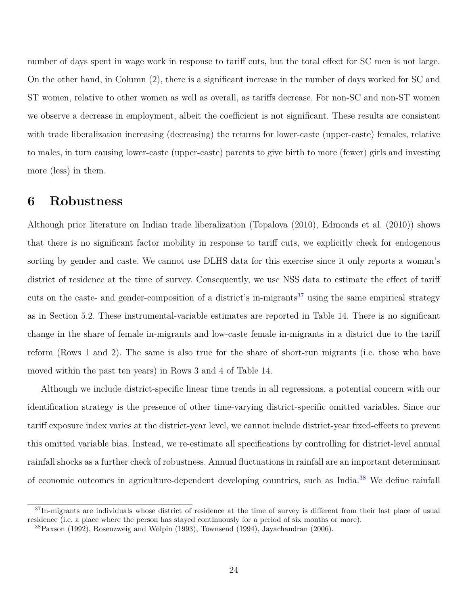number of days spent in wage work in response to tariff cuts, but the total effect for SC men is not large. On the other hand, in Column (2), there is a significant increase in the number of days worked for SC and ST women, relative to other women as well as overall, as tariffs decrease. For non-SC and non-ST women we observe a decrease in employment, albeit the coefficient is not significant. These results are consistent with trade liberalization increasing (decreasing) the returns for lower-caste (upper-caste) females, relative to males, in turn causing lower-caste (upper-caste) parents to give birth to more (fewer) girls and investing more (less) in them.

### **6 Robustness**

Although prior literature on Indian trade liberalization [\(Topalova](#page-32-1) [\(2010\)](#page-32-1), [Edmonds et al.](#page-30-2) [\(2010\)](#page-30-2)) shows that there is no significant factor mobility in response to tariff cuts, we explicitly check for endogenous sorting by gender and caste. We cannot use DLHS data for this exercise since it only reports a woman's district of residence at the time of survey. Consequently, we use NSS data to estimate the effect of tariff cuts on the caste- and gender-composition of a district's in-migrants<sup>[37](#page-26-0)</sup> using the same empirical strategy as in Section 5.2. These instrumental-variable estimates are reported in Table 14. There is no significant change in the share of female in-migrants and low-caste female in-migrants in a district due to the tariff reform (Rows 1 and 2). The same is also true for the share of short-run migrants (i.e. those who have moved within the past ten years) in Rows 3 and 4 of Table 14.

Although we include district-specific linear time trends in all regressions, a potential concern with our identification strategy is the presence of other time-varying district-specific omitted variables. Since our tariff exposure index varies at the district-year level, we cannot include district-year fixed-effects to prevent this omitted variable bias. Instead, we re-estimate all specifications by controlling for district-level annual rainfall shocks as a further check of robustness. Annual fluctuations in rainfall are an important determinant of economic outcomes in agriculture-dependent developing countries, such as India.[38](#page-26-1) We define rainfall

<span id="page-26-0"></span><sup>37</sup>In-migrants are individuals whose district of residence at the time of survey is different from their last place of usual residence (i.e. a place where the person has stayed continuously for a period of six months or more).

<span id="page-26-1"></span><sup>38</sup>[Paxson](#page-31-14) [\(1992\)](#page-31-14), [Rosenzweig and Wolpin](#page-31-15) [\(1993\)](#page-31-15), [Townsend](#page-32-6) [\(1994\)](#page-32-6), [Jayachandran](#page-30-15) [\(2006\)](#page-30-15).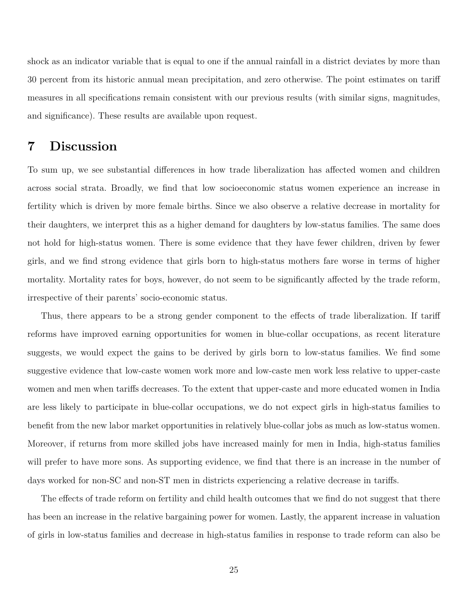shock as an indicator variable that is equal to one if the annual rainfall in a district deviates by more than 30 percent from its historic annual mean precipitation, and zero otherwise. The point estimates on tariff measures in all specifications remain consistent with our previous results (with similar signs, magnitudes, and significance). These results are available upon request.

### **7 Discussion**

To sum up, we see substantial differences in how trade liberalization has affected women and children across social strata. Broadly, we find that low socioeconomic status women experience an increase in fertility which is driven by more female births. Since we also observe a relative decrease in mortality for their daughters, we interpret this as a higher demand for daughters by low-status families. The same does not hold for high-status women. There is some evidence that they have fewer children, driven by fewer girls, and we find strong evidence that girls born to high-status mothers fare worse in terms of higher mortality. Mortality rates for boys, however, do not seem to be significantly affected by the trade reform, irrespective of their parents' socio-economic status.

Thus, there appears to be a strong gender component to the effects of trade liberalization. If tariff reforms have improved earning opportunities for women in blue-collar occupations, as recent literature suggests, we would expect the gains to be derived by girls born to low-status families. We find some suggestive evidence that low-caste women work more and low-caste men work less relative to upper-caste women and men when tariffs decreases. To the extent that upper-caste and more educated women in India are less likely to participate in blue-collar occupations, we do not expect girls in high-status families to benefit from the new labor market opportunities in relatively blue-collar jobs as much as low-status women. Moreover, if returns from more skilled jobs have increased mainly for men in India, high-status families will prefer to have more sons. As supporting evidence, we find that there is an increase in the number of days worked for non-SC and non-ST men in districts experiencing a relative decrease in tariffs.

The effects of trade reform on fertility and child health outcomes that we find do not suggest that there has been an increase in the relative bargaining power for women. Lastly, the apparent increase in valuation of girls in low-status families and decrease in high-status families in response to trade reform can also be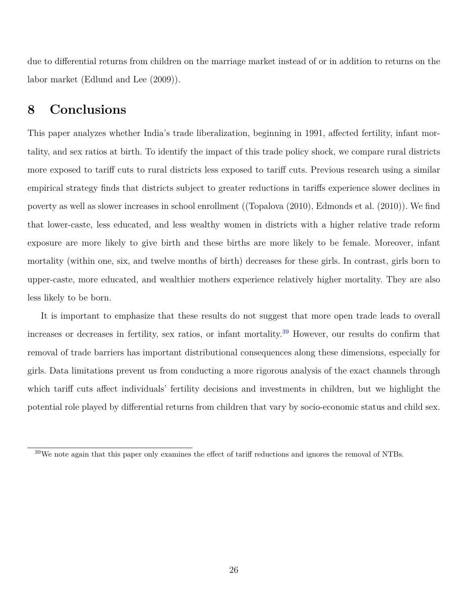due to differential returns from children on the marriage market instead of or in addition to returns on the labor market [\(Edlund and Lee](#page-30-4) [\(2009\)](#page-30-4)).

### **8 Conclusions**

This paper analyzes whether India's trade liberalization, beginning in 1991, affected fertility, infant mortality, and sex ratios at birth. To identify the impact of this trade policy shock, we compare rural districts more exposed to tariff cuts to rural districts less exposed to tariff cuts. Previous research using a similar empirical strategy finds that districts subject to greater reductions in tariffs experience slower declines in poverty as well as slower increases in school enrollment ([\(Topalova](#page-32-1) [\(2010\)](#page-32-1), [Edmonds et al.](#page-30-2) [\(2010\)](#page-30-2)). We find that lower-caste, less educated, and less wealthy women in districts with a higher relative trade reform exposure are more likely to give birth and these births are more likely to be female. Moreover, infant mortality (within one, six, and twelve months of birth) decreases for these girls. In contrast, girls born to upper-caste, more educated, and wealthier mothers experience relatively higher mortality. They are also less likely to be born.

It is important to emphasize that these results do not suggest that more open trade leads to overall increases or decreases in fertility, sex ratios, or infant mortality.[39](#page-28-0) However, our results do confirm that removal of trade barriers has important distributional consequences along these dimensions, especially for girls. Data limitations prevent us from conducting a more rigorous analysis of the exact channels through which tariff cuts affect individuals' fertility decisions and investments in children, but we highlight the potential role played by differential returns from children that vary by socio-economic status and child sex.

<span id="page-28-0"></span><sup>39</sup>We note again that this paper only examines the effect of tariff reductions and ignores the removal of NTBs.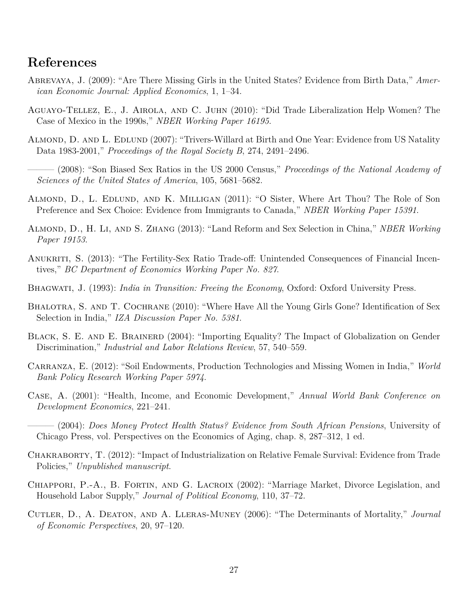### **References**

- <span id="page-29-8"></span>Abrevaya, J. (2009): "Are There Missing Girls in the United States? Evidence from Birth Data," *American Economic Journal: Applied Economics*, 1, 1–34.
- <span id="page-29-14"></span>Aguayo-Tellez, E., J. Airola, and C. Juhn (2010): "Did Trade Liberalization Help Women? The Case of Mexico in the 1990s," *NBER Working Paper 16195*.
- <span id="page-29-13"></span>ALMOND, D. AND L. EDLUND (2007): "Trivers-Willard at Birth and One Year: Evidence from US Natality Data 1983-2001," *Proceedings of the Royal Society B*, 274, 2491–2496.

<span id="page-29-9"></span>——— (2008): "Son Biased Sex Ratios in the US 2000 Census," *Proceedings of the National Academy of Sciences of the United States of America*, 105, 5681–5682.

- <span id="page-29-10"></span>Almond, D., L. Edlund, and K. Milligan (2011): "O Sister, Where Art Thou? The Role of Son Preference and Sex Choice: Evidence from Immigrants to Canada," *NBER Working Paper 15391*.
- <span id="page-29-3"></span>Almond, D., H. Li, and S. Zhang (2013): "Land Reform and Sex Selection in China," *NBER Working Paper 19153*.
- <span id="page-29-6"></span>Anukriti, S. (2013): "The Fertility-Sex Ratio Trade-off: Unintended Consequences of Financial Incentives," *BC Department of Economics Working Paper No. 827*.
- <span id="page-29-11"></span>Bhagwati, J. (1993): *India in Transition: Freeing the Economy*, Oxford: Oxford University Press.
- <span id="page-29-12"></span>BHALOTRA, S. AND T. COCHRANE (2010): "Where Have All the Young Girls Gone? Identification of Sex Selection in India," *IZA Discussion Paper No. 5381*.
- <span id="page-29-4"></span>Black, S. E. and E. Brainerd (2004): "Importing Equality? The Impact of Globalization on Gender Discrimination," *Industrial and Labor Relations Review*, 57, 540–559.
- <span id="page-29-7"></span>Carranza, E. (2012): "Soil Endowments, Production Technologies and Missing Women in India," *World Bank Policy Research Working Paper 5974*.
- <span id="page-29-1"></span>Case, A. (2001): "Health, Income, and Economic Development," *Annual World Bank Conference on Development Economics*, 221–241.
- <span id="page-29-2"></span>——— (2004): *Does Money Protect Health Status? Evidence from South African Pensions*, University of Chicago Press, vol. Perspectives on the Economics of Aging, chap. 8, 287–312, 1 ed.
- <span id="page-29-5"></span>Chakraborty, T. (2012): "Impact of Industrialization on Relative Female Survival: Evidence from Trade Policies," *Unpublished manuscript*.
- <span id="page-29-15"></span>CHIAPPORI, P.-A., B. FORTIN, AND G. LACROIX (2002): "Marriage Market, Divorce Legislation, and Household Labor Supply," *Journal of Political Economy*, 110, 37–72.
- <span id="page-29-0"></span>Cutler, D., A. Deaton, and A. Lleras-Muney (2006): "The Determinants of Mortality," *Journal of Economic Perspectives*, 20, 97–120.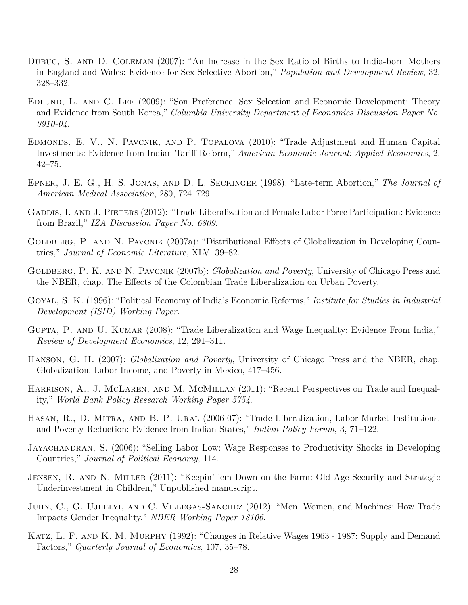- <span id="page-30-10"></span>Dubuc, S. and D. Coleman (2007): "An Increase in the Sex Ratio of Births to India-born Mothers in England and Wales: Evidence for Sex-Selective Abortion," *Population and Development Review*, 32, 328–332.
- <span id="page-30-4"></span>Edlund, L. and C. Lee (2009): "Son Preference, Sex Selection and Economic Development: Theory and Evidence from South Korea," *Columbia University Department of Economics Discussion Paper No. 0910-04*.
- <span id="page-30-2"></span>Edmonds, E. V., N. Pavcnik, and P. Topalova (2010): "Trade Adjustment and Human Capital Investments: Evidence from Indian Tariff Reform," *American Economic Journal: Applied Economics*, 2, 42–75.
- <span id="page-30-12"></span>Epner, J. E. G., H. S. Jonas, and D. L. Seckinger (1998): "Late-term Abortion," *The Journal of American Medical Association*, 280, 724–729.
- <span id="page-30-3"></span>GADDIS, I. AND J. PIETERS (2012): "Trade Liberalization and Female Labor Force Participation: Evidence from Brazil," *IZA Discussion Paper No. 6809*.
- <span id="page-30-6"></span>GOLDBERG, P. AND N. PAVCNIK (2007a): "Distributional Effects of Globalization in Developing Countries," *Journal of Economic Literature*, XLV, 39–82.
- <span id="page-30-8"></span>GOLDBERG, P. K. AND N. PAVCNIK (2007b): *Globalization and Poverty*, University of Chicago Press and the NBER, chap. The Effects of the Colombian Trade Liberalization on Urban Poverty.
- <span id="page-30-11"></span>Goyal, S. K. (1996): "Political Economy of India's Economic Reforms," *Institute for Studies in Industrial Development (ISID) Working Paper*.
- <span id="page-30-0"></span>GUPTA, P. AND U. KUMAR (2008): "Trade Liberalization and Wage Inequality: Evidence From India," *Review of Development Economics*, 12, 291–311.
- <span id="page-30-7"></span>Hanson, G. H. (2007): *Globalization and Poverty*, University of Chicago Press and the NBER, chap. Globalization, Labor Income, and Poverty in Mexico, 417–456.
- <span id="page-30-9"></span>HARRISON, A., J. MCLAREN, AND M. MCMILLAN (2011): "Recent Perspectives on Trade and Inequality," *World Bank Policy Research Working Paper 5754*.
- <span id="page-30-1"></span>Hasan, R., D. Mitra, and B. P. Ural (2006-07): "Trade Liberalization, Labor-Market Institutions, and Poverty Reduction: Evidence from Indian States," *Indian Policy Forum*, 3, 71–122.
- <span id="page-30-15"></span>Jayachandran, S. (2006): "Selling Labor Low: Wage Responses to Productivity Shocks in Developing Countries," *Journal of Political Economy*, 114.
- <span id="page-30-14"></span>Jensen, R. and N. Miller (2011): "Keepin' 'em Down on the Farm: Old Age Security and Strategic Underinvestment in Children," Unpublished manuscript.
- <span id="page-30-13"></span>Juhn, C., G. Ujhelyi, and C. Villegas-Sanchez (2012): "Men, Women, and Machines: How Trade Impacts Gender Inequality," *NBER Working Paper 18106*.
- <span id="page-30-5"></span>KATZ, L. F. AND K. M. MURPHY (1992): "Changes in Relative Wages 1963 - 1987: Supply and Demand Factors," *Quarterly Journal of Economics*, 107, 35–78.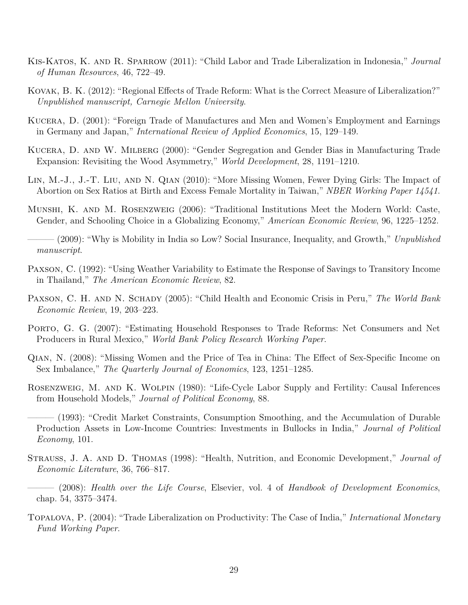- <span id="page-31-10"></span>Kis-Katos, K. and R. Sparrow (2011): "Child Labor and Trade Liberalization in Indonesia," *Journal of Human Resources*, 46, 722–49.
- <span id="page-31-9"></span>Kovak, B. K. (2012): "Regional Effects of Trade Reform: What is the Correct Measure of Liberalization?" *Unpublished manuscript, Carnegie Mellon University*.
- <span id="page-31-5"></span>Kucera, D. (2001): "Foreign Trade of Manufactures and Men and Women's Employment and Earnings in Germany and Japan," *International Review of Applied Economics*, 15, 129–149.
- <span id="page-31-6"></span>Kucera, D. and W. Milberg (2000): "Gender Segregation and Gender Bias in Manufacturing Trade Expansion: Revisiting the Wood Asymmetry," *World Development*, 28, 1191–1210.
- <span id="page-31-12"></span>Lin, M.-J., J.-T. Liu, and N. Qian (2010): "More Missing Women, Fewer Dying Girls: The Impact of Abortion on Sex Ratios at Birth and Excess Female Mortality in Taiwan," *NBER Working Paper 14541*.
- <span id="page-31-8"></span>Munshi, K. and M. Rosenzweig (2006): "Traditional Institutions Meet the Modern World: Caste, Gender, and Schooling Choice in a Globalizing Economy," *American Economic Review*, 96, 1225–1252.

<span id="page-31-7"></span>——— (2009): "Why is Mobility in India so Low? Social Insurance, Inequality, and Growth," *Unpublished manuscript*.

- <span id="page-31-14"></span>Paxson, C. (1992): "Using Weather Variability to Estimate the Response of Savings to Transitory Income in Thailand," *The American Economic Review*, 82.
- <span id="page-31-4"></span>Paxson, C. H. and N. Schady (2005): "Child Health and Economic Crisis in Peru," *The World Bank Economic Review*, 19, 203–223.
- <span id="page-31-1"></span>Porto, G. G. (2007): "Estimating Household Responses to Trade Reforms: Net Consumers and Net Producers in Rural Mexico," *World Bank Policy Research Working Paper*.
- <span id="page-31-0"></span>Qian, N. (2008): "Missing Women and the Price of Tea in China: The Effect of Sex-Specific Income on Sex Imbalance," *The Quarterly Journal of Economics*, 123, 1251–1285.
- <span id="page-31-13"></span>Rosenzweig, M. and K. Wolpin (1980): "Life-Cycle Labor Supply and Fertility: Causal Inferences from Household Models," *Journal of Political Economy*, 88.
- <span id="page-31-15"></span> $-$  (1993): "Credit Market Constraints, Consumption Smoothing, and the Accumulation of Durable Production Assets in Low-Income Countries: Investments in Bullocks in India," *Journal of Political Economy*, 101.
- <span id="page-31-2"></span>Strauss, J. A. and D. Thomas (1998): "Health, Nutrition, and Economic Development," *Journal of Economic Literature*, 36, 766–817.
- <span id="page-31-3"></span>——— (2008): *Health over the Life Course*, Elsevier, vol. 4 of *Handbook of Development Economics*, chap. 54, 3375–3474.
- <span id="page-31-11"></span>Topalova, P. (2004): "Trade Liberalization on Productivity: The Case of India," *International Monetary Fund Working Paper*.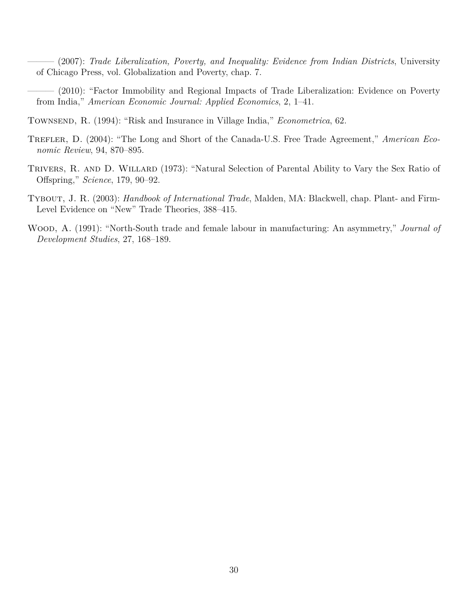- <span id="page-32-0"></span>——— (2007): *Trade Liberalization, Poverty, and Inequality: Evidence from Indian Districts*, University of Chicago Press, vol. Globalization and Poverty, chap. 7.
- <span id="page-32-1"></span>——— (2010): "Factor Immobility and Regional Impacts of Trade Liberalization: Evidence on Poverty from India," *American Economic Journal: Applied Economics*, 2, 1–41.
- <span id="page-32-6"></span>Townsend, R. (1994): "Risk and Insurance in Village India," *Econometrica*, 62.
- <span id="page-32-4"></span>TREFLER, D. (2004): "The Long and Short of the Canada-U.S. Free Trade Agreement," *American Economic Review*, 94, 870–895.
- <span id="page-32-5"></span>TRIVERS, R. AND D. WILLARD (1973): "Natural Selection of Parental Ability to Vary the Sex Ratio of Offspring," *Science*, 179, 90–92.
- <span id="page-32-3"></span>Tybout, J. R. (2003): *Handbook of International Trade*, Malden, MA: Blackwell, chap. Plant- and Firm-Level Evidence on "New" Trade Theories, 388–415.
- <span id="page-32-2"></span>Wood, A. (1991): "North-South trade and female labour in manufacturing: An asymmetry," *Journal of Development Studies*, 27, 168–189.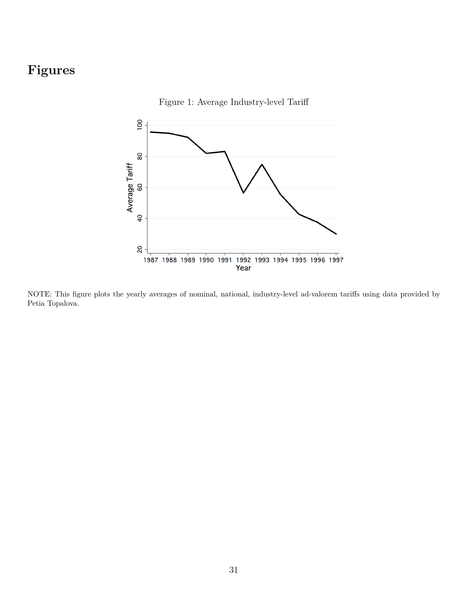# **Figures**

Figure 1: Average Industry-level Tariff



NOTE: This figure plots the yearly averages of nominal, national, industry-level ad-valorem tariffs using data provided by Petia Topalova.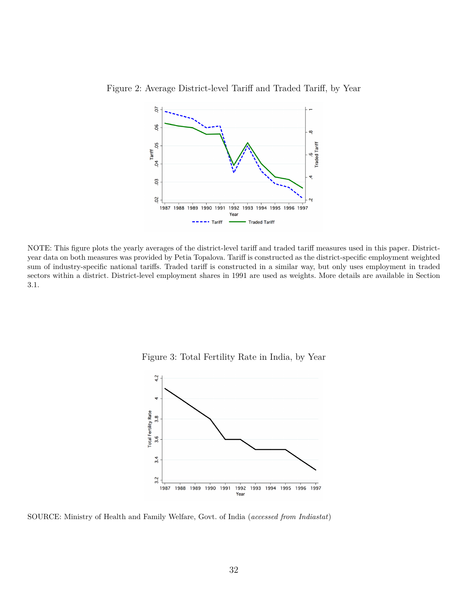

Figure 2: Average District-level Tariff and Traded Tariff, by Year

NOTE: This figure plots the yearly averages of the district-level tariff and traded tariff measures used in this paper. Districtyear data on both measures was provided by Petia Topalova. Tariff is constructed as the district-specific employment weighted sum of industry-specific national tariffs. Traded tariff is constructed in a similar way, but only uses employment in traded sectors within a district. District-level employment shares in 1991 are used as weights. More details are available in Section 3.1.

Figure 3: Total Fertility Rate in India, by Year



SOURCE: Ministry of Health and Family Welfare, Govt. of India (*accessed from Indiastat*)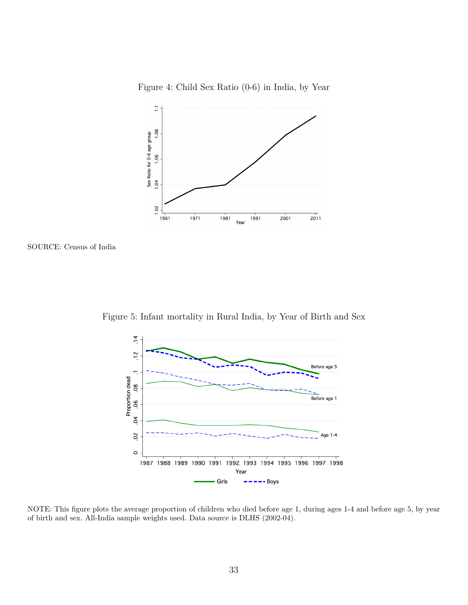

Figure 4: Child Sex Ratio (0-6) in India, by Year





Figure 5: Infant mortality in Rural India, by Year of Birth and Sex

NOTE: This figure plots the average proportion of children who died before age 1, during ages 1-4 and before age 5, by year of birth and sex. All-India sample weights used. Data source is DLHS (2002-04).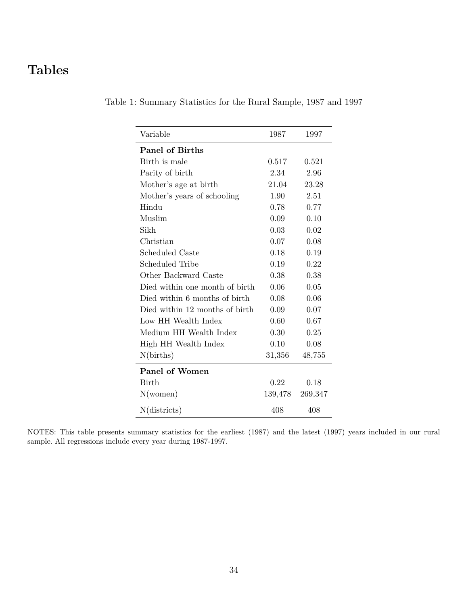# **Tables**

| Variable                       | 1987    | 1997    |
|--------------------------------|---------|---------|
| <b>Panel of Births</b>         |         |         |
| Birth is male                  | 0.517   | 0.521   |
| Parity of birth                | 2.34    | 2.96    |
| Mother's age at birth          | 21.04   | 23.28   |
| Mother's years of schooling    | 1.90    | 2.51    |
| Hindu                          | 0.78    | 0.77    |
| Muslim                         | 0.09    | 0.10    |
| Sikh                           | 0.03    | 0.02    |
| Christian                      | 0.07    | 0.08    |
| Scheduled Caste                | 0.18    | 0.19    |
| Scheduled Tribe                | 0.19    | 0.22    |
| Other Backward Caste           | 0.38    | 0.38    |
| Died within one month of birth | 0.06    | 0.05    |
| Died within 6 months of birth  | 0.08    | 0.06    |
| Died within 12 months of birth | 0.09    | 0.07    |
| Low HH Wealth Index            | 0.60    | 0.67    |
| Medium HH Wealth Index         | 0.30    | 0.25    |
| High HH Wealth Index           | 0.10    | 0.08    |
| N(births)                      | 31,356  | 48,755  |
| <b>Panel of Women</b>          |         |         |
| Birth                          | 0.22    | 0.18    |
| N(women)                       | 139,478 | 269,347 |
| $N(\text{districts})$          | 408     | 408     |

Table 1: Summary Statistics for the Rural Sample, 1987 and 1997

NOTES: This table presents summary statistics for the earliest (1987) and the latest (1997) years included in our rural sample. All regressions include every year during 1987-1997.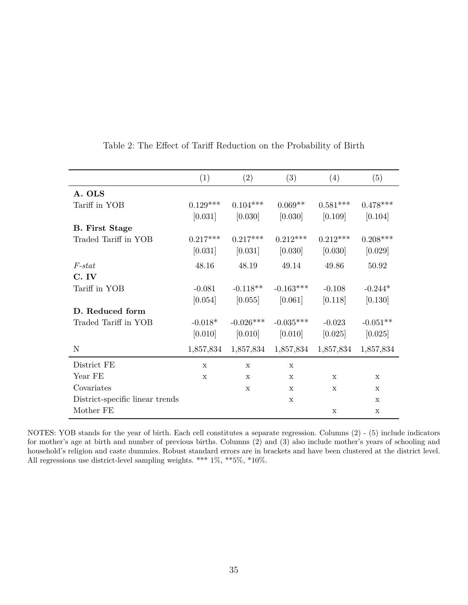|                                 | (1)         | (2)         | (3)         | (4)         | (5)          |
|---------------------------------|-------------|-------------|-------------|-------------|--------------|
| A. OLS                          |             |             |             |             |              |
| Tariff in YOB                   | $0.129***$  | $0.104***$  | $0.069**$   | $0.581***$  | $0.478***$   |
|                                 | [0.031]     | [0.030]     | [0.030]     | [0.109]     | [0.104]      |
| <b>B.</b> First Stage           |             |             |             |             |              |
| Traded Tariff in YOB            | $0.217***$  | $0.217***$  | $0.212***$  | $0.212***$  | $0.208***$   |
|                                 | [0.031]     | [0.031]     | [0.030]     | [0.030]     | [0.029]      |
| $F-stat$                        | 48.16       | 48.19       | 49.14       | 49.86       | 50.92        |
| C. IV                           |             |             |             |             |              |
| Tariff in YOB                   | $-0.081$    | $-0.118**$  | $-0.163***$ | $-0.108$    | $-0.244*$    |
|                                 | [0.054]     | [0.055]     | [0.061]     | [0.118]     | [0.130]      |
| D. Reduced form                 |             |             |             |             |              |
| Traded Tariff in YOB            | $-0.018*$   | $-0.026***$ | $-0.035***$ | $-0.023$    | $-0.051**$   |
|                                 | [0.010]     | [0.010]     | [0.010]     | [0.025]     | [0.025]      |
| N                               | 1,857,834   | 1,857,834   | 1,857,834   | 1,857,834   | 1,857,834    |
| District FE                     | $\mathbf x$ | $\mathbf x$ | $\mathbf x$ |             |              |
| Year FE                         | $\mathbf x$ | $\mathbf x$ | $\mathbf x$ | $\mathbf x$ | $\mathbf x$  |
| Covariates                      |             | X           | X           | X           | $\mathbf{x}$ |
| District-specific linear trends |             |             | X           |             | X            |
| Mother FE                       |             |             |             | $\mathbf X$ | X            |

Table 2: The Effect of Tariff Reduction on the Probability of Birth

NOTES: YOB stands for the year of birth. Each cell constitutes a separate regression. Columns (2) - (5) include indicators for mother's age at birth and number of previous births. Columns (2) and (3) also include mother's years of schooling and household's religion and caste dummies. Robust standard errors are in brackets and have been clustered at the district level. All regressions use district-level sampling weights. \*\*\*  $1\%,$  \*\*5%, \*10%.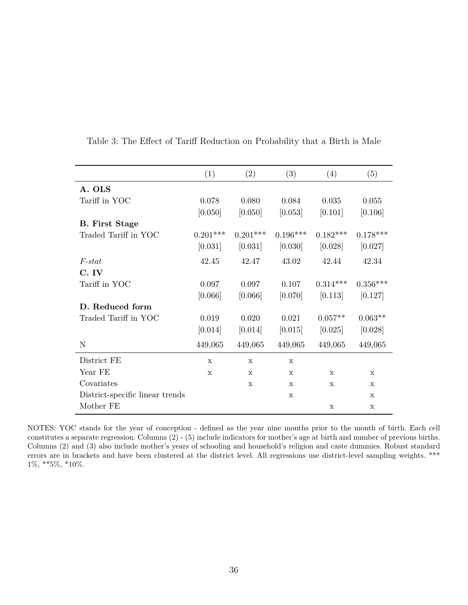|                                 | (1)         | (2)         | (3)          | (4)         | (5)          |
|---------------------------------|-------------|-------------|--------------|-------------|--------------|
| A. OLS                          |             |             |              |             |              |
| Tariff in YOC                   | 0.078       | 0.080       | 0.084        | 0.035       | 0.055        |
|                                 | [0.050]     | [0.050]     | [0.053]      | [0.101]     | [0.106]      |
| <b>B.</b> First Stage           |             |             |              |             |              |
| Traded Tariff in YOC            | $0.201***$  | $0.201***$  | $0.196***$   | $0.182***$  | $0.178***$   |
|                                 | [0.031]     | [0.031]     | [0.030]      | [0.028]     | [0.027]      |
| $F-stat$                        | 42.45       | 42.47       | 43.02        | 42.44       | 42.34        |
| C. IV                           |             |             |              |             |              |
| Tariff in YOC                   | 0.097       | 0.097       | 0.107        | $0.314***$  | $0.356***$   |
|                                 | [0.066]     | [0.066]     | [0.070]      | [0.113]     | [0.127]      |
| D. Reduced form                 |             |             |              |             |              |
| Traded Tariff in YOC            | 0.019       | 0.020       | 0.021        | $0.057**$   | $0.063**$    |
|                                 | [0.014]     | [0.014]     | [0.015]      | [0.025]     | [0.028]      |
| N                               | 449,065     | 449,065     | 449,065      | 449,065     | 449,065      |
| District FE                     | $\mathbf x$ | $\mathbf x$ | $\mathbf{x}$ |             |              |
| Year FE                         | $\mathbf x$ | $\mathbf x$ | X            | X           | X            |
| Covariates                      |             | $\mathbf x$ | $\mathbf{x}$ | $\mathbf x$ | $\mathbf{x}$ |
| District-specific linear trends |             |             | $\mathbf{x}$ |             | $\mathbf x$  |
| Mother FE                       |             |             |              | X           | X            |

Table 3: The Effect of Tariff Reduction on Probability that a Birth is Male

NOTES: YOC stands for the year of conception - defined as the year nine months prior to the month of birth. Each cell constitutes a separate regression. Columns (2) - (5) include indicators for mother's age at birth and number of previous births. Columns (2) and (3) also include mother's years of schooling and household's religion and caste dummies. Robust standard errors are in brackets and have been clustered at the district level. All regressions use district-level sampling weights. \*\*\* 1%, \*\*5%, \*10%.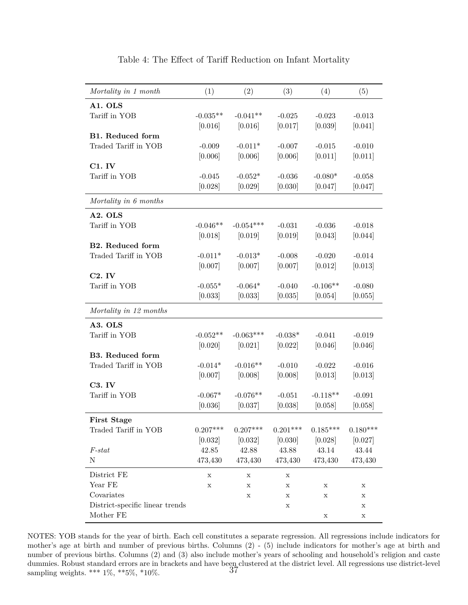| Mortality in 1 month            | (1)         | (2)         | (3)         | (4)         | (5)         |
|---------------------------------|-------------|-------------|-------------|-------------|-------------|
| A1. OLS                         |             |             |             |             |             |
| Tariff in YOB                   | $-0.035**$  | $-0.041**$  | $-0.025$    | $-0.023$    | $-0.013$    |
|                                 | [0.016]     | [0.016]     | [0.017]     | [0.039]     | [0.041]     |
| <b>B1.</b> Reduced form         |             |             |             |             |             |
| Traded Tariff in YOB            | $-0.009$    | $-0.011*$   | $-0.007$    | $-0.015$    | $-0.010$    |
|                                 | [0.006]     | [0.006]     | [0.006]     | [0.011]     | [0.011]     |
| $C1.$ IV                        |             |             |             |             |             |
| Tariff in YOB                   | $-0.045$    | $-0.052*$   | $-0.036$    | $-0.080*$   | $-0.058$    |
|                                 | [0.028]     | [0.029]     | [0.030]     | [0.047]     | [0.047]     |
| Mortality in 6 months           |             |             |             |             |             |
| A2. OLS                         |             |             |             |             |             |
| Tariff in YOB                   | $-0.046**$  | $-0.054***$ | $-0.031$    | $-0.036$    | $-0.018$    |
|                                 | [0.018]     | [0.019]     | [0.019]     | [0.043]     | [0.044]     |
| <b>B2.</b> Reduced form         |             |             |             |             |             |
| Traded Tariff in YOB            | $-0.011*$   | $-0.013*$   | $-0.008$    | $-0.020$    | $-0.014$    |
|                                 | [0.007]     | [0.007]     | [0.007]     | [0.012]     | [0.013]     |
| C2.IV                           |             |             |             |             |             |
| Tariff in YOB                   | $-0.055*$   | $-0.064*$   | $-0.040$    | $-0.106**$  | $-0.080$    |
|                                 | [0.033]     | [0.033]     | [0.035]     | [0.054]     | [0.055]     |
| Mortality in 12 months          |             |             |             |             |             |
| A3. OLS                         |             |             |             |             |             |
| Tariff in YOB                   | $-0.052**$  | $-0.063***$ | $-0.038*$   | $-0.041$    | $-0.019$    |
|                                 | [0.020]     | [0.021]     | [0.022]     | [0.046]     | [0.046]     |
| <b>B3. Reduced form</b>         |             |             |             |             |             |
| Traded Tariff in YOB            | $-0.014*$   | $-0.016**$  | $-0.010$    | $-0.022$    | $-0.016$    |
|                                 | [0.007]     | [0.008]     | [0.008]     | [0.013]     | [0.013]     |
| <b>C3. IV</b>                   |             |             |             |             |             |
| Tariff in YOB                   | $-0.067*$   | $-0.076**$  | $-0.051$    | $-0.118**$  | $-0.091$    |
|                                 | [0.036]     | [0.037]     | [0.038]     | [0.058]     | [0.058]     |
| <b>First Stage</b>              |             |             |             |             |             |
| Traded Tariff in YOB            | $0.207***$  | $0.207***$  | $0.201***$  | $0.185***$  | $0.180***$  |
|                                 | [0.032]     | [0.032]     | [0.030]     | [0.028]     | [0.027]     |
| $F-stat$                        | 42.85       | 42.88       | 43.88       | 43.14       | 43.44       |
| N                               | 473,430     | 473,430     | 473,430     | 473,430     | 473,430     |
| District FE                     | $\mathbf X$ | $\mathbf X$ | $\mathbf X$ |             |             |
| Year FE                         | $\mathbf X$ | X           | $\mathbf X$ | $\mathbf X$ | X           |
| Covariates                      |             | Х           | $\mathbf X$ | $\mathbf X$ | X           |
| District-specific linear trends |             |             | $\mathbf X$ |             | $\mathbf X$ |
| Mother FE                       |             |             |             | X           | X           |

#### Table 4: The Effect of Tariff Reduction on Infant Mortality

NOTES: YOB stands for the year of birth. Each cell constitutes a separate regression. All regressions include indicators for mother's age at birth and number of previous births. Columns (2) - (5) include indicators for mother's age at birth and number of previous births. Columns (2) and (3) also include mother's years of schooling and household's religion and caste dummies. Robust standard errors are in brackets and have been clustered at the district level. All regressions use district-level sampling weights. \*\*\*  $1\%$ , \*\*5%, \*10%.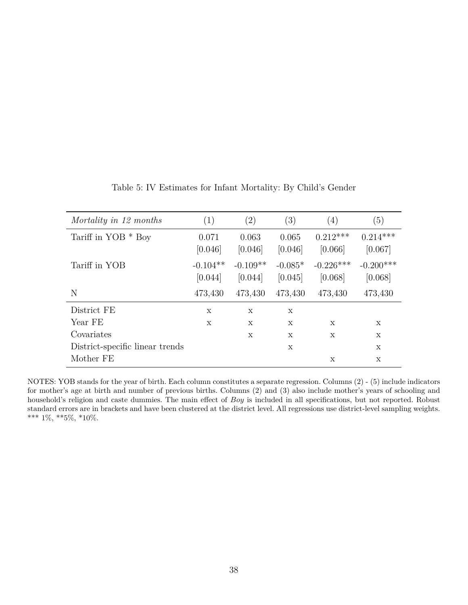| Mortality in 12 months          | (1)                   | $\left( 2\right)$     | (3)                  | $\left(4\right)$       | (5)                    |
|---------------------------------|-----------------------|-----------------------|----------------------|------------------------|------------------------|
| Tariff in $YOB * Boy$           | 0.071<br>[0.046]      | 0.063<br>[0.046]      | 0.065<br>[0.046]     | $0.212***$<br>[0.066]  | $0.214***$<br>[0.067]  |
| Tariff in YOB                   | $-0.104**$<br>[0.044] | $-0.109**$<br>[0.044] | $-0.085*$<br>[0.045] | $-0.226***$<br>[0.068] | $-0.200***$<br>[0.068] |
| N                               | 473,430               | 473,430               | 473,430              | 473,430                | 473,430                |
| District FE                     | X                     | X                     | X                    |                        |                        |
| Year FE                         | $\mathbf x$           | X                     | X                    | $\mathbf x$            | $\mathbf x$            |
| Covariates                      |                       | X                     | X                    | X                      | X                      |
| District-specific linear trends |                       |                       | X                    |                        | X                      |
| Mother FE                       |                       |                       |                      | X                      | X                      |

Table 5: IV Estimates for Infant Mortality: By Child's Gender

NOTES: YOB stands for the year of birth. Each column constitutes a separate regression. Columns (2) - (5) include indicators for mother's age at birth and number of previous births. Columns (2) and (3) also include mother's years of schooling and household's religion and caste dummies. The main effect of *Boy* is included in all specifications, but not reported. Robust standard errors are in brackets and have been clustered at the district level. All regressions use district-level sampling weights. \*\*\* 1%, \*\*5%, \*10%.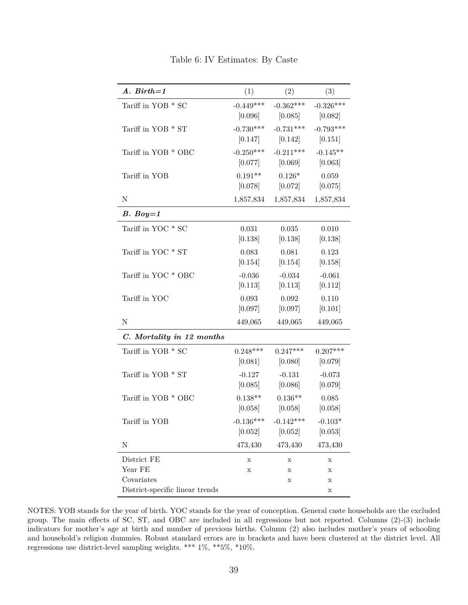| $A.$ Birth=1                    | (1)         | (2)         | (3)         |
|---------------------------------|-------------|-------------|-------------|
| Tariff in YOB * SC              | $-0.449***$ | $-0.362***$ | $-0.326***$ |
|                                 | [0.096]     | [0.085]     | [0.082]     |
| Tariff in YOB * ST              | $-0.730***$ | $-0.731***$ | $-0.793***$ |
|                                 | [0.147]     | [0.142]     | [0.151]     |
| Tariff in YOB * OBC             | $-0.250***$ | $-0.211***$ | $-0.145**$  |
|                                 | [0.077]     | [0.069]     | [0.063]     |
| Tariff in YOB                   | $0.191**$   | $0.126*$    | 0.059       |
|                                 | [0.078]     | [0.072]     | [0.075]     |
| $\mathbf N$                     | 1,857,834   | 1,857,834   | 1,857,834   |
| $B. Boy=1$                      |             |             |             |
| Tariff in YOC * SC              | 0.031       | 0.035       | 0.010       |
|                                 | [0.138]     | [0.138]     | [0.138]     |
| Tariff in YOC * ST              | 0.083       | 0.081       | 0.123       |
|                                 | [0.154]     | [0.154]     | [0.158]     |
| Tariff in YOC * OBC             | $-0.036$    | $-0.034$    | $-0.061$    |
|                                 | [0.113]     | [0.113]     | [0.112]     |
| Tariff in YOC                   | 0.093       | 0.092       | 0.110       |
|                                 | [0.097]     | [0.097]     | [0.101]     |
| N                               | 449,065     | 449,065     | 449,065     |
| C. Mortality in 12 months       |             |             |             |
| Tariff in YOB * SC              | $0.248***$  | $0.247***$  | $0.207***$  |
|                                 | [0.081]     | [0.080]     | [0.079]     |
| Tariff in YOB * ST              | $-0.127$    | $-0.131$    | $-0.073$    |
|                                 | [0.085]     | [0.086]     | [0.079]     |
| Tariff in YOB * OBC             | $0.138**$   | $0.136**$   | 0.085       |
|                                 | [0.058]     | [0.058]     | [0.058]     |
| Tariff in YOB                   | $-0.136***$ | $-0.142***$ | $-0.103*$   |
|                                 | [0.052]     | [0.052]     | [0.053]     |
| N                               | 473,430     | 473,430     | 473,430     |
| District FE                     | Х           | Х           | х           |
| Year FE                         | $\mathbf X$ | X           | X           |
| Covariates                      |             | х           | х           |
| District-specific linear trends |             |             | Х           |

Table 6: IV Estimates: By Caste

NOTES: YOB stands for the year of birth. YOC stands for the year of conception. General caste households are the excluded group. The main effects of SC, ST, and OBC are included in all regressions but not reported. Columns (2)-(3) include indicators for mother's age at birth and number of previous births. Column (2) also includes mother's years of schooling and household's religion dummies. Robust standard errors are in brackets and have been clustered at the district level. All regressions use district-level sampling weights. \*\*\*  $1\%,$  \*\*5%, \*10%.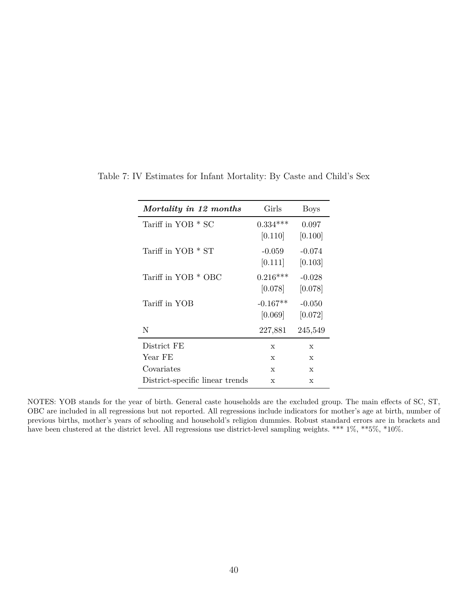| Mortality in 12 months          | Girls                 | <b>Boys</b>         |
|---------------------------------|-----------------------|---------------------|
| Tariff in YOB * SC              | $0.334***$<br>[0.110] | 0.097<br>[0.100]    |
| Tariff in YOB * ST              | $-0.059$<br>[0.111]   | $-0.074$<br>[0.103] |
| Tariff in YOB * OBC             | $0.216***$<br>[0.078] | $-0.028$<br>[0.078] |
| Tariff in YOB                   | $-0.167**$<br>[0.069] | $-0.050$<br>[0.072] |
| N                               | 227,881               | 245,549             |
| District FE                     | $\mathbf x$           | X                   |
| Year FE                         | $\mathbf x$           | X                   |
| Covariates                      | X                     | X                   |
| District-specific linear trends | X                     | $\mathbf x$         |

Table 7: IV Estimates for Infant Mortality: By Caste and Child's Sex

NOTES: YOB stands for the year of birth. General caste households are the excluded group. The main effects of SC, ST, OBC are included in all regressions but not reported. All regressions include indicators for mother's age at birth, number of previous births, mother's years of schooling and household's religion dummies. Robust standard errors are in brackets and have been clustered at the district level. All regressions use district-level sampling weights. \*\*\* 1%, \*\*5%, \*10%.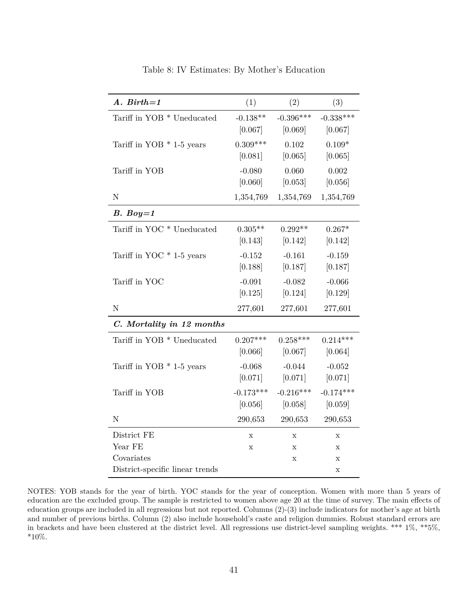| $A.$ Birth=1                    | (1)                    | (2)                    | (3)                    |
|---------------------------------|------------------------|------------------------|------------------------|
| Tariff in YOB * Uneducated      | $-0.138**$<br>[0.067]  | $-0.396***$<br>[0.069] | $-0.338***$<br>[0.067] |
| Tariff in YOB $*$ 1-5 years     | $0.309***$<br>[0.081]  | 0.102<br>[0.065]       | $0.109*$<br>[0.065]    |
| Tariff in YOB                   | $-0.080$<br>[0.060]    | 0.060<br>[0.053]       | 0.002<br>[0.056]       |
| ${\rm N}$                       | 1,354,769              | 1,354,769              | 1,354,769              |
| $B. Boy=1$                      |                        |                        |                        |
| Tariff in YOC * Uneducated      | $0.305**$<br>[0.143]   | $0.292**$<br>[0.142]   | $0.267*$<br>[0.142]    |
| Tariff in YOC $*$ 1-5 years     | $-0.152$<br>[0.188]    | $-0.161$<br>[0.187]    | $-0.159$<br>[0.187]    |
| Tariff in YOC                   | $-0.091$<br>[0.125]    | $-0.082$<br>[0.124]    | $-0.066$<br>[0.129]    |
| ${\rm N}$                       | 277,601                | 277,601                | 277,601                |
| C. Mortality in 12 months       |                        |                        |                        |
| Tariff in YOB * Uneducated      | $0.207***$<br>[0.066]  | $0.258***$<br>[0.067]  | $0.214***$<br>[0.064]  |
| Tariff in YOB $*$ 1-5 years     | $-0.068$<br>[0.071]    | $-0.044$<br>[0.071]    | $-0.052$<br>[0.071]    |
| Tariff in YOB                   | $-0.173***$<br>[0.056] | $-0.216***$<br>[0.058] | $-0.174***$<br>[0.059] |
| $\mathbf N$                     | 290,653                | 290,653                | 290,653                |
| District FE                     | $\mathbf X$            | $\mathbf X$            | X                      |
| Year FE                         | X                      | Х                      | Х                      |
| Covariates                      |                        | X                      | X                      |
| District-specific linear trends |                        |                        | X                      |

Table 8: IV Estimates: By Mother's Education

NOTES: YOB stands for the year of birth. YOC stands for the year of conception. Women with more than 5 years of education are the excluded group. The sample is restricted to women above age 20 at the time of survey. The main effects of education groups are included in all regressions but not reported. Columns (2)-(3) include indicators for mother's age at birth and number of previous births. Column (2) also include household's caste and religion dummies. Robust standard errors are in brackets and have been clustered at the district level. All regressions use district-level sampling weights. \*\*\* 1%, \*\*5%,  $*10\%.$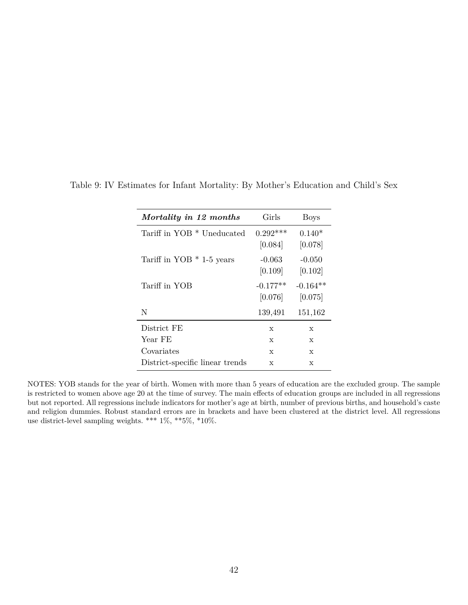| Mortality in 12 months          | Girls      | <b>Boys</b> |
|---------------------------------|------------|-------------|
| Tariff in YOB * Uneducated      | $0.292***$ | $0.140*$    |
|                                 | [0.084]    | [0.078]     |
| Tariff in YOB $*$ 1-5 years     | $-0.063$   | $-0.050$    |
|                                 | [0.109]    | [0.102]     |
| Tariff in YOB                   | $-0.177**$ | $-0.164**$  |
|                                 | [0.076]    | [0.075]     |
| N                               | 139,491    | 151,162     |
| District FE                     | X          | X           |
| Year FE                         | X          | X           |
| Covariates                      | X          | X           |
| District-specific linear trends | X          | X           |

Table 9: IV Estimates for Infant Mortality: By Mother's Education and Child's Sex

NOTES: YOB stands for the year of birth. Women with more than 5 years of education are the excluded group. The sample is restricted to women above age 20 at the time of survey. The main effects of education groups are included in all regressions but not reported. All regressions include indicators for mother's age at birth, number of previous births, and household's caste and religion dummies. Robust standard errors are in brackets and have been clustered at the district level. All regressions use district-level sampling weights. \*\*\* 1%, \*\*5%, \*10%.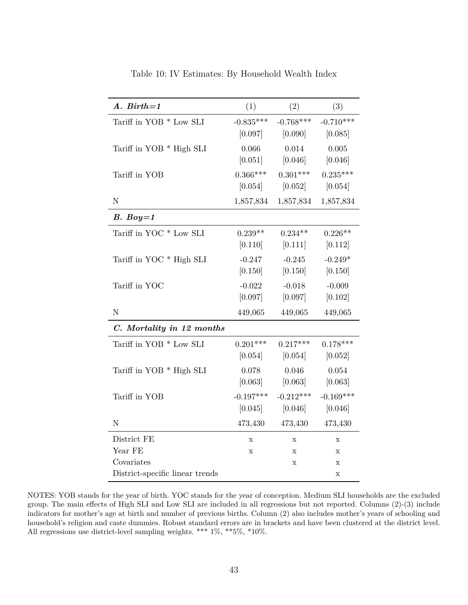| $A.$ Birth=1                    | (1)         | (2)         | (3)         |
|---------------------------------|-------------|-------------|-------------|
| Tariff in YOB * Low SLI         | $-0.835***$ | $-0.768***$ | $-0.710***$ |
|                                 | [0.097]     | [0.090]     | [0.085]     |
| Tariff in YOB * High SLI        | 0.066       | 0.014       | 0.005       |
|                                 | [0.051]     | [0.046]     | [0.046]     |
| Tariff in YOB                   | $0.366***$  | $0.301***$  | $0.235***$  |
|                                 | [0.054]     | [0.052]     | [0.054]     |
| ${\bf N}$                       | 1,857,834   | 1,857,834   | 1,857,834   |
| $B. Boy=1$                      |             |             |             |
| Tariff in YOC * Low SLI         | $0.239**$   | $0.234**$   | $0.226**$   |
|                                 | [0.110]     | [0.111]     | [0.112]     |
| Tariff in YOC * High SLI        | $-0.247$    | $-0.245$    | $-0.249*$   |
|                                 | [0.150]     | [0.150]     | [0.150]     |
| Tariff in YOC                   | $-0.022$    | $-0.018$    | $-0.009$    |
|                                 | [0.097]     | [0.097]     | [0.102]     |
| ${\bf N}$                       | 449,065     | 449,065     | 449,065     |
| C. Mortality in 12 months       |             |             |             |
| Tariff in YOB * Low SLI         | $0.201***$  | $0.217***$  | $0.178***$  |
|                                 | [0.054]     | [0.054]     | [0.052]     |
| Tariff in YOB * High SLI        | 0.078       | 0.046       | 0.054       |
|                                 | [0.063]     | [0.063]     | [0.063]     |
| Tariff in YOB                   | $-0.197***$ | $-0.212***$ | $-0.169***$ |
|                                 | [0.045]     | [0.046]     | [0.046]     |
| ${\rm N}$                       | 473,430     | 473,430     | 473,430     |
| District FE                     | $\mathbf x$ | $\mathbf X$ | $\mathbf X$ |
| Year FE                         | $\mathbf x$ | X           | X           |
| Covariates                      |             | X           | X           |
| District-specific linear trends |             |             | X           |

Table 10: IV Estimates: By Household Wealth Index

NOTES: YOB stands for the year of birth. YOC stands for the year of conception. Medium SLI households are the excluded group. The main effects of High SLI and Low SLI are included in all regressions but not reported. Columns (2)-(3) include indicators for mother's age at birth and number of previous births. Column (2) also includes mother's years of schooling and household's religion and caste dummies. Robust standard errors are in brackets and have been clustered at the district level. All regressions use district-level sampling weights. \*\*\*  $1\%,$  \*\*5%, \*10%.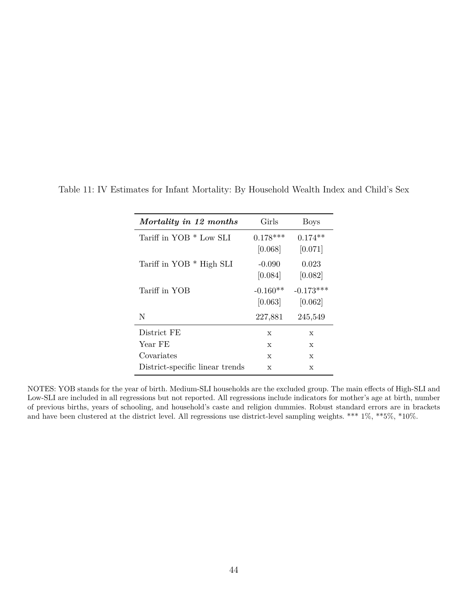| Mortality in 12 months          | Girls      | Boys        |
|---------------------------------|------------|-------------|
| Tariff in YOB * Low SLI         | $0.178***$ | $0.174**$   |
|                                 | [0.068]    | [0.071]     |
| Tariff in YOB * High SLI        | $-0.090$   | 0.023       |
|                                 | [0.084]    | [0.082]     |
| Tariff in YOB                   | $-0.160**$ | $-0.173***$ |
|                                 | [0.063]    | [0.062]     |
| N                               | 227,881    | 245,549     |
| District FE                     | X          | X           |
| Year FE                         | X          | X           |
| Covariates                      | X          | X           |
| District-specific linear trends | X          | X           |

Table 11: IV Estimates for Infant Mortality: By Household Wealth Index and Child's Sex

NOTES: YOB stands for the year of birth. Medium-SLI households are the excluded group. The main effects of High-SLI and Low-SLI are included in all regressions but not reported. All regressions include indicators for mother's age at birth, number of previous births, years of schooling, and household's caste and religion dummies. Robust standard errors are in brackets and have been clustered at the district level. All regressions use district-level sampling weights. \*\*\* 1%, \*\*5%, \*10%.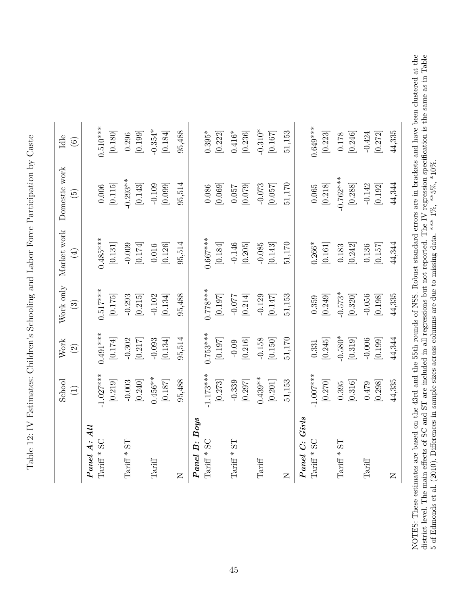|                                 | School<br>$\bigoplus$ | Work<br>$\widehat{c}$ | Work only<br>$\odot$  | Market work<br>$(\pm)$ | Domestic work<br>$\widetilde{5}$ | Idle<br>$\widehat{\odot}$ |
|---------------------------------|-----------------------|-----------------------|-----------------------|------------------------|----------------------------------|---------------------------|
| Panel A: All                    |                       |                       |                       |                        |                                  |                           |
| Tariff $*$ SC                   | $-1.027***$           | $0.491***$            | $0.517***$            | $0.485***$             | $0.006\,$                        | $0.510***$                |
|                                 | $\left[ 0.219\right]$ | $\left[0.174\right]$  | $\left[0.175\right]$  | $\left[ 0.131\right]$  | $\left[0.115\right]$             | $\left[ 0.180\right]$     |
| LS<br>Tariff $\hspace{0.1mm}^*$ | $-0.003$              | $-0.302$              | $-0.293$              | $-0.009$               | $-0.293**$                       | 0.296                     |
|                                 | $\left[ 0.240\right]$ | [0.217]               | $\left[ 0.215\right]$ | $\left[0.174\right]$   | $\left[0.143\right]$             | [0.199]                   |
| Tariff                          | $0.456**$             | $-0.093$              | $-0.102$              | $0.016\,$              | $-0.109$                         | $-0.354*$                 |
|                                 | $[0.187]$             | $\left[ 0.134\right]$ | $\left[ 0.134\right]$ | $\left[0.126\right]$   | $\left[0.099\right]$             | $\left[ 0.184\right]$     |
| $\overline{z}$                  | 95,488                | 95,514                | 95,488                | 95,514                 | 95,514                           | 95,488                    |
| Boys<br>Panel B:                |                       |                       |                       |                        |                                  |                           |
| $Tariff * SC$                   | $1.173***$            | $0.753***$            | $0.778***$            | $0.667***$             | 0.086                            | $0.395*$                  |
|                                 | $\left[ 0.273\right]$ | [0.197]               | $\left[ 0.197\right]$ | $\left[ 0.184\right]$  | [0.069]                          | [0.222]                   |
| LS<br>$Tariff *$                | $-0.339$              | $-0.09$               | $-0.077$              | $-0.146$               | $0.057\,$                        | $0.416*$                  |
|                                 | [0.297]               | $\left[ 0.216\right]$ | $\left[ 0.214\right]$ | $\left[ 0.205\right]$  | [0.079]                          | $\left[ 0.236\right]$     |
| $\operatorname{Tariff}$         | $0.439**$             | $-0.158$              | $-0.129$              | $-0.085$               | $-0.073$                         | $-0.310*$                 |
|                                 | $\left[ 0.201\right]$ |                       | [0.147]               | $\left[0.143\right]$   | $\left[0.057\right]$             | $[0.167]$                 |
| $\simeq$                        | 51,153                | 51,170                | 51,153                | 51,170                 | 51,170                           | $51,\!153$                |
| Panel C: Girls                  |                       |                       |                       |                        |                                  |                           |
| SC<br>Tariff $*$                | $1.007***$            | 0.331                 | 0.359                 | $0.266*$               | $0.065\,$                        | $0.649***$                |
|                                 | $[0.270]$             | $\left[ 0.245\right]$ | $\left[ 0.249\right]$ | $\left[ 0.161\right]$  | $\left[ 0.218\right]$            | $\left[ 0.223\right]$     |
| 1S<br>Tariff $\hspace{0.1mm}^*$ | 0.395                 | $-0.580*$             | $-0.573*$             | $0.183\,$              | $-0.762***$                      | $0.178\,$                 |
|                                 | $\left[ 0.316\right]$ | $\left[ 0.319\right]$ | $[0.320]$             | $\left[ 0.242\right]$  | $[0.288]$                        | $\left[ 0.246\right]$     |
| Tariff                          | $0.479$               | $-0.006$              | $-0.056$              | 0.136                  | $-0.142$                         | $-0.424$                  |
|                                 | [0.298]               | [0.199]               | [0.198]               | [0.157]                | [0.192]                          | [0.272]                   |
| $\mathsf{\Xi}$                  | 44,335                | 44,344                | 44,335                | 44,344                 | 44,344                           | 44,335                    |

Table 12: IV Estimates: Children's Schooling and Labor Force Participation by Caste Table 12: IV Estimates: Children's Schooling and Labor Force Participation by Caste NOTES: These estimates are based on the 43rd and the 55th rounds of NSS. Robust standard errors are in brackets and have been clustered at the district level. The main effects of SC and ST are included in all regressions NOTES: These estimates are based on the 43rd and the 55th rounds of NSS. Robust standard errors are in brackets and have been clustered at the district level. The main effects of SC and ST are included in all regressions but not reported. The IV regression specification is the same as in Table 5 of [Edmonds](#page-30-2) et al. [\(2010\)](#page-30-2). Differences in sample sizes across columns are due to missing data. \*\*\* 1%, \*\*5%, \*10%.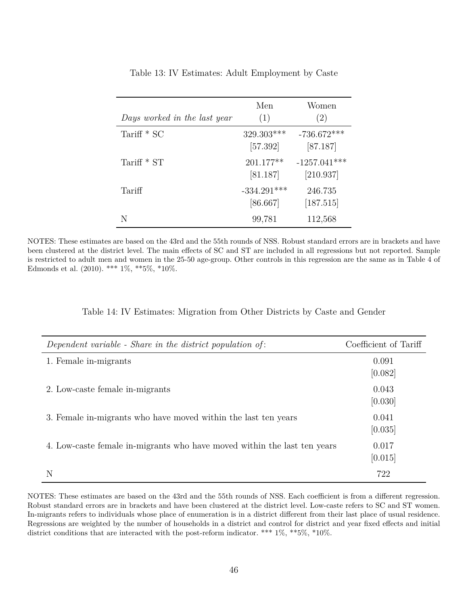| Days worked in the last year | Men<br>(1)                | Women<br>(2)                |
|------------------------------|---------------------------|-----------------------------|
| Tariff $*$ SC                | 329.303***<br>[57.392]    | $-736.672***$<br>[87.187]   |
| Tariff $*$ ST                | 201.177**<br>[81.187]     | $-1257.041***$<br>[210.937] |
| Tariff                       | $-334.291***$<br>[86.667] | 246.735<br>[187.515]        |
| N                            | 99,781                    | 112,568                     |

Table 13: IV Estimates: Adult Employment by Caste

NOTES: These estimates are based on the 43rd and the 55th rounds of NSS. Robust standard errors are in brackets and have been clustered at the district level. The main effects of SC and ST are included in all regressions but not reported. Sample is restricted to adult men and women in the 25-50 age-group. Other controls in this regression are the same as in Table 4 of [Edmonds et al.](#page-30-2)  $(2010)$ . \*\*\*  $1\%$ , \*\*5%, \*10%.

| Dependent variable - Share in the district population of:                | Coefficient of Tariff |
|--------------------------------------------------------------------------|-----------------------|
| 1. Female in-migrants                                                    | 0.091<br>[0.082]      |
| 2. Low-caste female in-migrants                                          | 0.043<br>[0.030]      |
| 3. Female in-migrants who have moved within the last ten years           | 0.041<br>[0.035]      |
| 4. Low-caste female in-migrants who have moved within the last ten years | 0.017<br>[0.015]      |
|                                                                          | 722                   |

NOTES: These estimates are based on the 43rd and the 55th rounds of NSS. Each coefficient is from a different regression. Robust standard errors are in brackets and have been clustered at the district level. Low-caste refers to SC and ST women. In-migrants refers to individuals whose place of enumeration is in a district different from their last place of usual residence. Regressions are weighted by the number of households in a district and control for district and year fixed effects and initial district conditions that are interacted with the post-reform indicator. \*\*\* 1%, \*\*5%, \*10%.